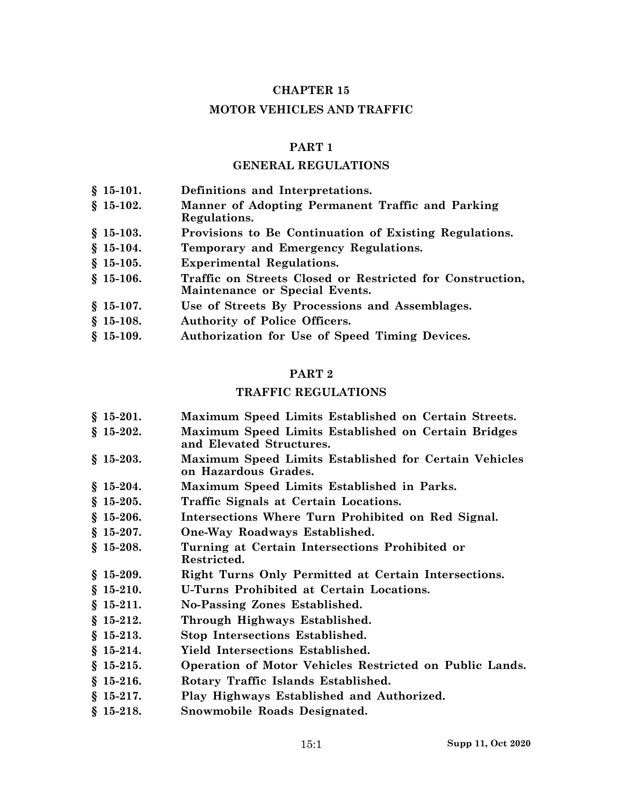### **CHAPTER 15**

#### **MOTOR VEHICLES AND TRAFFIC**

#### **PART 1**

#### **GENERAL REGULATIONS**

**§ 15-101. Definitions and Interpretations. § 15-102. Manner of Adopting Permanent Traffic and Parking Regulations. § 15-103. Provisions to Be Continuation of Existing Regulations. § 15-104. Temporary and Emergency Regulations. § 15-105. Experimental Regulations. § 15-106. Traffic on Streets Closed or Restricted for Construction, Maintenance or Special Events. § 15-107. Use of Streets By Processions and Assemblages. § 15-108. Authority of Police Officers. § 15-109. Authorization for Use of Speed Timing Devices.**

#### **PART 2**

### **TRAFFIC REGULATIONS**

- **§ 15-201. Maximum Speed Limits Established on Certain Streets.**
- **§ 15-202. Maximum Speed Limits Established on Certain Bridges and Elevated Structures.**
- **§ 15-203. Maximum Speed Limits Established for Certain Vehicles on Hazardous Grades.**
- **§ 15-204. Maximum Speed Limits Established in Parks.**
- **§ 15-205. Traffic Signals at Certain Locations.**
- **§ 15-206. Intersections Where Turn Prohibited on Red Signal.**
- **§ 15-207. One-Way Roadways Established.**
- **§ 15-208. Turning at Certain Intersections Prohibited or Restricted.**
- **§ 15-209. Right Turns Only Permitted at Certain Intersections.**
- **§ 15-210. U-Turns Prohibited at Certain Locations.**
- **§ 15-211. No-Passing Zones Established.**
- **§ 15-212. Through Highways Established.**
- **§ 15-213. Stop Intersections Established.**
- **§ 15-214. Yield Intersections Established.**
- **§ 15-215. Operation of Motor Vehicles Restricted on Public Lands.**
- **§ 15-216. Rotary Traffic Islands Established.**
- **§ 15-217. Play Highways Established and Authorized.**
- **§ 15-218. Snowmobile Roads Designated.**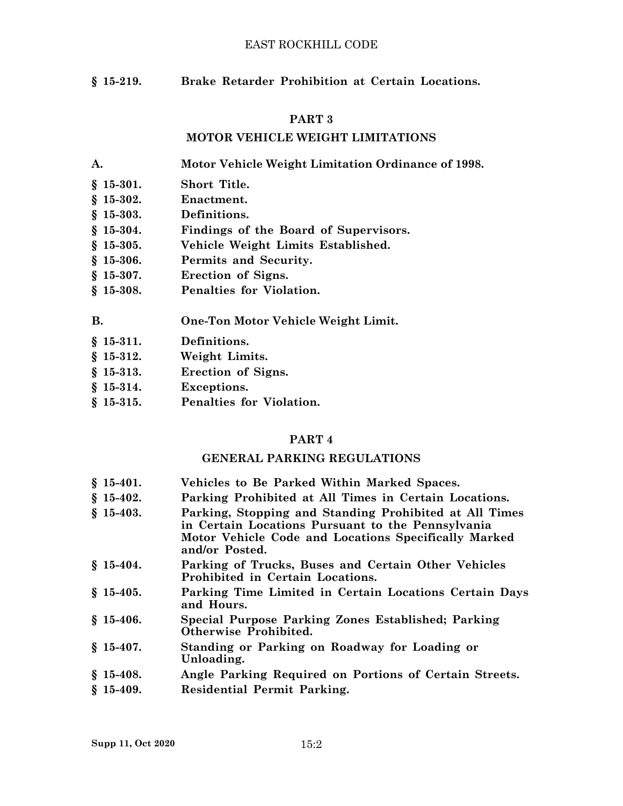### EAST ROCKHILL CODE

**§ 15-219. Brake Retarder Prohibition at Certain Locations.**

### **PART 3**

### **MOTOR VEHICLE WEIGHT LIMITATIONS**

**A. Motor Vehicle Weight Limitation Ordinance of 1998.**

- **§ 15-301. Short Title.**
- **§ 15-302. Enactment.**
- **§ 15-303. Definitions.**
- **§ 15-304. Findings of the Board of Supervisors.**
- **§ 15-305. Vehicle Weight Limits Established.**
- **§ 15-306. Permits and Security.**
- **§ 15-307. Erection of Signs.**
- **§ 15-308. Penalties for Violation.**

**B. One-Ton Motor Vehicle Weight Limit.**

- **§ 15-311. Definitions.**
- **§ 15-312. Weight Limits.**
- **§ 15-313. Erection of Signs.**
- **§ 15-314. Exceptions.**
- **§ 15-315. Penalties for Violation.**

### **PART 4**

#### **GENERAL PARKING REGULATIONS**

- **§ 15-401. Vehicles to Be Parked Within Marked Spaces.**
- **§ 15-402. Parking Prohibited at All Times in Certain Locations.**
- **§ 15-403. Parking, Stopping and Standing Prohibited at All Times in Certain Locations Pursuant to the Pennsylvania Motor Vehicle Code and Locations Specifically Marked and/or Posted.**
- **§ 15-404. Parking of Trucks, Buses and Certain Other Vehicles Prohibited in Certain Locations.**
- **§ 15-405. Parking Time Limited in Certain Locations Certain Days and Hours.**
- **§ 15-406. Special Purpose Parking Zones Established; Parking Otherwise Prohibited.**
- **§ 15-407. Standing or Parking on Roadway for Loading or Unloading.**
- **§ 15-408. Angle Parking Required on Portions of Certain Streets.**
- **§ 15-409. Residential Permit Parking.**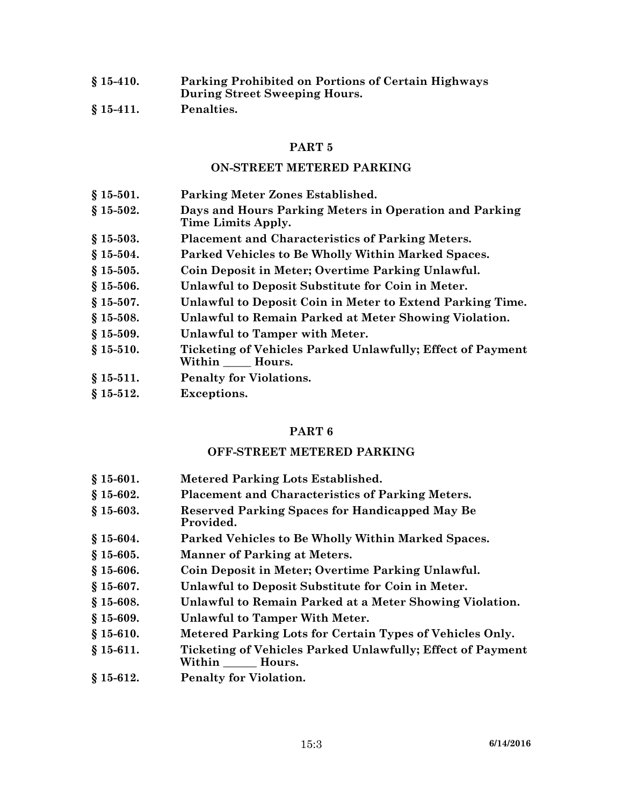**§ 15-410. Parking Prohibited on Portions of Certain Highways During Street Sweeping Hours. § 15-411. Penalties.**

#### **PART 5**

#### **ON-STREET METERED PARKING**

- **§ 15-501. Parking Meter Zones Established.**
- **§ 15-502. Days and Hours Parking Meters in Operation and Parking Time Limits Apply.**
- **§ 15-503. Placement and Characteristics of Parking Meters.**
- **§ 15-504. Parked Vehicles to Be Wholly Within Marked Spaces.**
- **§ 15-505. Coin Deposit in Meter; Overtime Parking Unlawful.**
- **§ 15-506. Unlawful to Deposit Substitute for Coin in Meter.**
- **§ 15-507. Unlawful to Deposit Coin in Meter to Extend Parking Time.**
- **§ 15-508. Unlawful to Remain Parked at Meter Showing Violation.**
- **§ 15-509. Unlawful to Tamper with Meter.**
- **§ 15-510. Ticketing of Vehicles Parked Unlawfully; Effect of Payment Within \_\_\_\_\_ Hours.**
- **§ 15-511. Penalty for Violations.**
- **§ 15-512. Exceptions.**

#### **PART 6**

#### **OFF-STREET METERED PARKING**

- **§ 15-601. Metered Parking Lots Established.**
- **§ 15-602. Placement and Characteristics of Parking Meters.**
- **§ 15-603. Reserved Parking Spaces for Handicapped May Be Provided.**
- **§ 15-604. Parked Vehicles to Be Wholly Within Marked Spaces.**
- **§ 15-605. Manner of Parking at Meters.**
- **§ 15-606. Coin Deposit in Meter; Overtime Parking Unlawful.**
- **§ 15-607. Unlawful to Deposit Substitute for Coin in Meter.**
- **§ 15-608. Unlawful to Remain Parked at <sup>a</sup> Meter Showing Violation.**
- **§ 15-609. Unlawful to Tamper With Meter.**
- **§ 15-610. Metered Parking Lots for Certain Types of Vehicles Only.**
- **§ 15-611. Ticketing of Vehicles Parked Unlawfully; Effect of Payment Within \_\_\_\_\_\_ Hours.**
- **§ 15-612. Penalty for Violation.**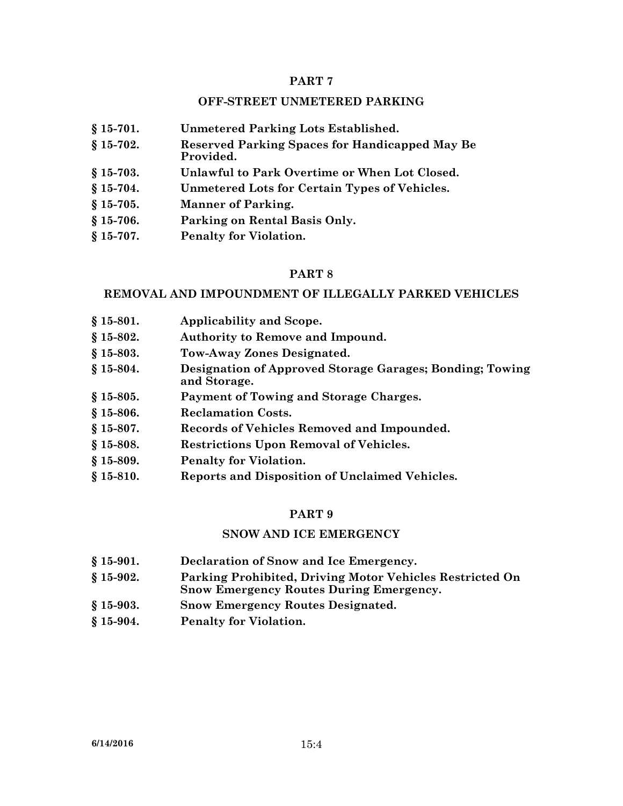### **OFF-STREET UNMETERED PARKING**

**§ 15-701. Unmetered Parking Lots Established. § 15-702. Reserved Parking Spaces for Handicapped May Be Provided. § 15-703. Unlawful to Park Overtime or When Lot Closed. § 15-704. Unmetered Lots for Certain Types of Vehicles. § 15-705. Manner of Parking. § 15-706. Parking on Rental Basis Only. § 15-707. Penalty for Violation.**

### **PART 8**

#### **REMOVAL AND IMPOUNDMENT OF ILLEGALLY PARKED VEHICLES**

- **§ 15-801. Applicability and Scope.**
- **§ 15-802. Authority to Remove and Impound.**
- **§ 15-803. Tow-Away Zones Designated.**
- **§ 15-804. Designation of Approved Storage Garages; Bonding; Towing and Storage.**
- **§ 15-805. Payment of Towing and Storage Charges.**
- **§ 15-806. Reclamation Costs.**
- **§ 15-807. Records of Vehicles Removed and Impounded.**
- **§ 15-808. Restrictions Upon Removal of Vehicles.**
- **§ 15-809. Penalty for Violation.**
- **§ 15-810. Reports and Disposition of Unclaimed Vehicles.**

### **PART 9**

#### **SNOW AND ICE EMERGENCY**

- **§ 15-901. Declaration of Snow and Ice Emergency.**
- **§ 15-902. Parking Prohibited, Driving Motor Vehicles Restricted On Snow Emergency Routes During Emergency.**
- **§ 15-903. Snow Emergency Routes Designated.**
- **§ 15-904. Penalty for Violation.**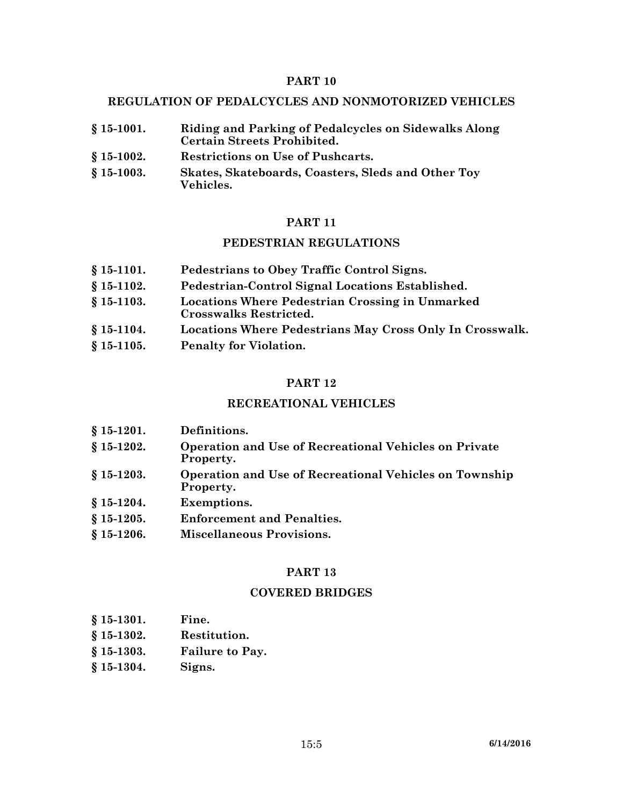### **REGULATION OF PEDALCYCLES AND NONMOTORIZED VEHICLES**

| $$15-1001.$ | Riding and Parking of Pedalcycles on Sidewalks Along<br><b>Certain Streets Prohibited.</b>       |
|-------------|--------------------------------------------------------------------------------------------------|
| $$15-1002.$ | Restrictions on Use of Pushcarts.                                                                |
|             | $\alpha$ $\alpha$ $\beta$ $\alpha$ $\beta$ $\alpha$ $\beta$ $\beta$<br>$\mathbf{1}$ $\mathbf{1}$ |

**§ 15-1003. Skates, Skateboards, Coasters, Sleds and Other Toy Vehicles.**

#### **PART 11**

#### **PEDESTRIAN REGULATIONS**

- **§ 15-1101. Pedestrians to Obey Traffic Control Signs.**
- **§ 15-1102. Pedestrian-Control Signal Locations Established.**
- **§ 15-1103. Locations Where Pedestrian Crossing in Unmarked Crosswalks Restricted.**
- **§ 15-1104. Locations Where Pedestrians May Cross Only In Crosswalk.**
- **§ 15-1105. Penalty for Violation.**

#### **PART 12**

### **RECREATIONAL VEHICLES**

- **§ 15-1201. Definitions.**
- **§ 15-1202. Operation and Use of Recreational Vehicles on Private Property.**
- **§ 15-1203. Operation and Use of Recreational Vehicles on Township Property.**
- **§ 15-1204. Exemptions.**
- **§ 15-1205. Enforcement and Penalties.**
- **§ 15-1206. Miscellaneous Provisions.**

### **PART 13**

#### **COVERED BRIDGES**

- **§ 15-1301. Fine.**
- **§ 15-1302. Restitution.**
- **§ 15-1303. Failure to Pay.**
- **§ 15-1304. Signs.**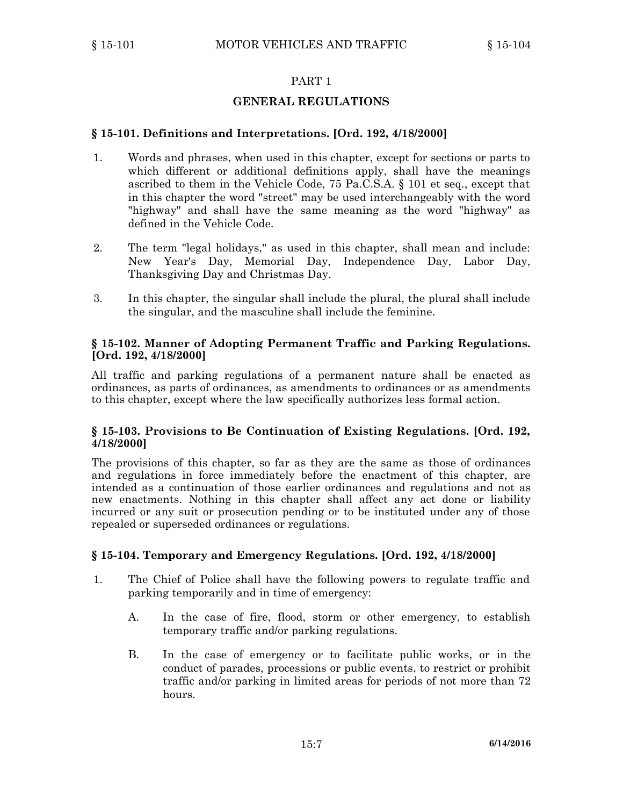### **GENERAL REGULATIONS**

### **§ 15-101. Definitions and Interpretations. [Ord. 192, 4/18/2000]**

- 1. Words and phrases, when used in this chapter, except for sections or parts to which different or additional definitions apply, shall have the meanings ascribed to them in the Vehicle Code, 75 Pa.C.S.A. § 101 et seq., except that in this chapter the word "street" may be used interchangeably with the word "highway" and shall have the same meaning as the word "highway" as defined in the Vehicle Code.
- 2. The term "legal holidays," as used in this chapter, shall mean and include: New Year's Day, Memorial Day, Independence Day, Labor Day, Thanksgiving Day and Christmas Day.
- 3. In this chapter, the singular shall include the plural, the plural shall include the singular, and the masculine shall include the feminine.

### **§ 15-102. Manner of Adopting Permanent Traffic and Parking Regulations. [Ord. 192, 4/18/2000]**

All traffic and parking regulations of <sup>a</sup> permanent nature shall be enacted as ordinances, as parts of ordinances, as amendments to ordinances or as amendments to this chapter, except where the law specifically authorizes less formal action.

### **§ 15-103. Provisions to Be Continuation of Existing Regulations. [Ord. 192, 4/18/2000]**

The provisions of this chapter, so far as they are the same as those of ordinances and regulations in force immediately before the enactment of this chapter, are intended as <sup>a</sup> continuation of those earlier ordinances and regulations and not as new enactments. Nothing in this chapter shall affect any act done or liability incurred or any suit or prosecution pending or to be instituted under any of those repealed or superseded ordinances or regulations.

### **§ 15-104. Temporary and Emergency Regulations. [Ord. 192, 4/18/2000]**

- 1. The Chief of Police shall have the following powers to regulate traffic and parking temporarily and in time of emergency:
	- A. In the case of fire, flood, storm or other emergency, to establish temporary traffic and/or parking regulations.
	- B. In the case of emergency or to facilitate public works, or in the conduct of parades, processions or public events, to restrict or prohibit traffic and/or parking in limited areas for periods of not more than 72 hours.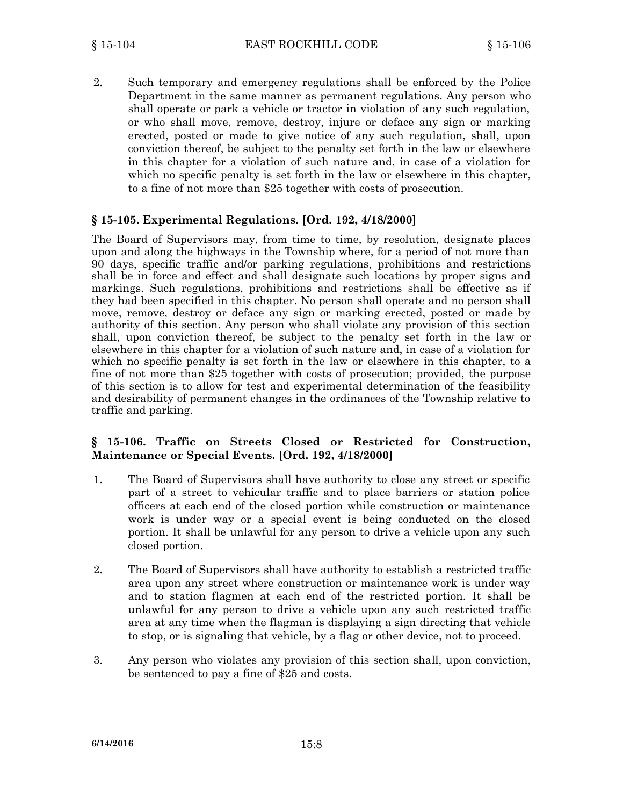2. Such temporary and emergency regulations shall be enforced by the Police Department in the same manner as permanent regulations. Any person who shall operate or park <sup>a</sup> vehicle or tractor in violation of any such regulation, or who shall move, remove, destroy, injure or deface any sign or marking erected, posted or made to give notice of any such regulation, shall, upon conviction thereof, be subject to the penalty set forth in the law or elsewhere in this chapter for <sup>a</sup> violation of such nature and, in case of <sup>a</sup> violation for which no specific penalty is set forth in the law or elsewhere in this chapter, to <sup>a</sup> fine of not more than \$25 together with costs of prosecution.

### **§ 15-105. Experimental Regulations. [Ord. 192, 4/18/2000]**

The Board of Supervisors may, from time to time, by resolution, designate places upon and along the highways in the Township where, for <sup>a</sup> period of not more than 90 days, specific traffic and/or parking regulations, prohibitions and restrictions shall be in force and effect and shall designate such locations by proper signs and markings. Such regulations, prohibitions and restrictions shall be effective as if they had been specified in this chapter. No person shall operate and no person shall move, remove, destroy or deface any sign or marking erected, posted or made by authority of this section. Any person who shall violate any provision of this section shall, upon conviction thereof, be subject to the penalty set forth in the law or elsewhere in this chapter for <sup>a</sup> violation of such nature and, in case of <sup>a</sup> violation for which no specific penalty is set forth in the law or elsewhere in this chapter, to <sup>a</sup> fine of not more than \$25 together with costs of prosecution; provided, the purpose of this section is to allow for test and experimental determination of the feasibility and desirability of permanent changes in the ordinances of the Township relative to traffic and parking.

### **§ 15-106. Traffic on Streets Closed or Restricted for Construction, Maintenance or Special Events. [Ord. 192, 4/18/2000]**

- 1. The Board of Supervisors shall have authority to close any street or specific part of <sup>a</sup> street to vehicular traffic and to place barriers or station police officers at each end of the closed portion while construction or maintenance work is under way or <sup>a</sup> special event is being conducted on the closed portion. It shall be unlawful for any person to drive <sup>a</sup> vehicle upon any such closed portion.
- 2. The Board of Supervisors shall have authority to establish <sup>a</sup> restricted traffic area upon any street where construction or maintenance work is under way and to station flagmen at each end of the restricted portion. It shall be unlawful for any person to drive <sup>a</sup> vehicle upon any such restricted traffic area at any time when the flagman is displaying <sup>a</sup> sign directing that vehicle to stop, or is signaling that vehicle, by <sup>a</sup> flag or other device, not to proceed.
- 3. Any person who violates any provision of this section shall, upon conviction, be sentenced to pay <sup>a</sup> fine of \$25 and costs.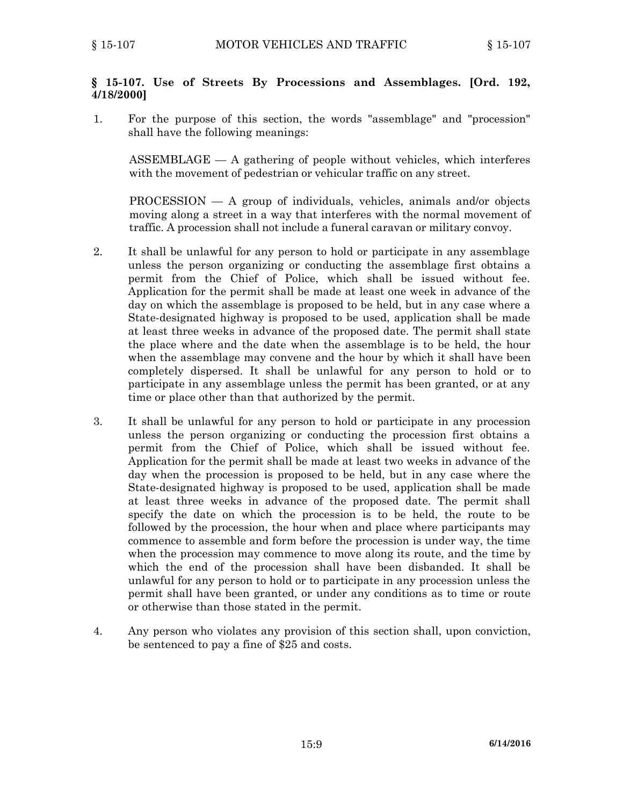### **§ 15-107. Use of Streets By Processions and Assemblages. [Ord. 192, 4/18/2000]**

1. For the purpose of this section, the words "assemblage" and "procession" shall have the following meanings:

 $ASSEMBLAGE - A$  gathering of people without vehicles, which interferes with the movement of pedestrian or vehicular traffic on any street.

PROCESSION — A group of individuals, vehicles, animals and/or objects moving along <sup>a</sup> street in <sup>a</sup> way that interferes with the normal movement of traffic. A procession shall not include <sup>a</sup> funeral caravan or military convoy.

- 2. It shall be unlawful for any person to hold or participate in any assemblage unless the person organizing or conducting the assemblage first obtains <sup>a</sup> permit from the Chief of Police, which shall be issued without fee. Application for the permit shall be made at least one week in advance of the day on which the assemblage is proposed to be held, but in any case where <sup>a</sup> State-designated highway is proposed to be used, application shall be made at least three weeks in advance of the proposed date. The permit shall state the place where and the date when the assemblage is to be held, the hour when the assemblage may convene and the hour by which it shall have been completely dispersed. It shall be unlawful for any person to hold or to participate in any assemblage unless the permit has been granted, or at any time or place other than that authorized by the permit.
- 3. It shall be unlawful for any person to hold or participate in any procession unless the person organizing or conducting the procession first obtains <sup>a</sup> permit from the Chief of Police, which shall be issued without fee. Application for the permit shall be made at least two weeks in advance of the day when the procession is proposed to be held, but in any case where the State-designated highway is proposed to be used, application shall be made at least three weeks in advance of the proposed date. The permit shall specify the date on which the procession is to be held, the route to be followed by the procession, the hour when and place where participants may commence to assemble and form before the procession is under way, the time when the procession may commence to move along its route, and the time by which the end of the procession shall have been disbanded. It shall be unlawful for any person to hold or to participate in any procession unless the permit shall have been granted, or under any conditions as to time or route or otherwise than those stated in the permit.
- 4. Any person who violates any provision of this section shall, upon conviction, be sentenced to pay <sup>a</sup> fine of \$25 and costs.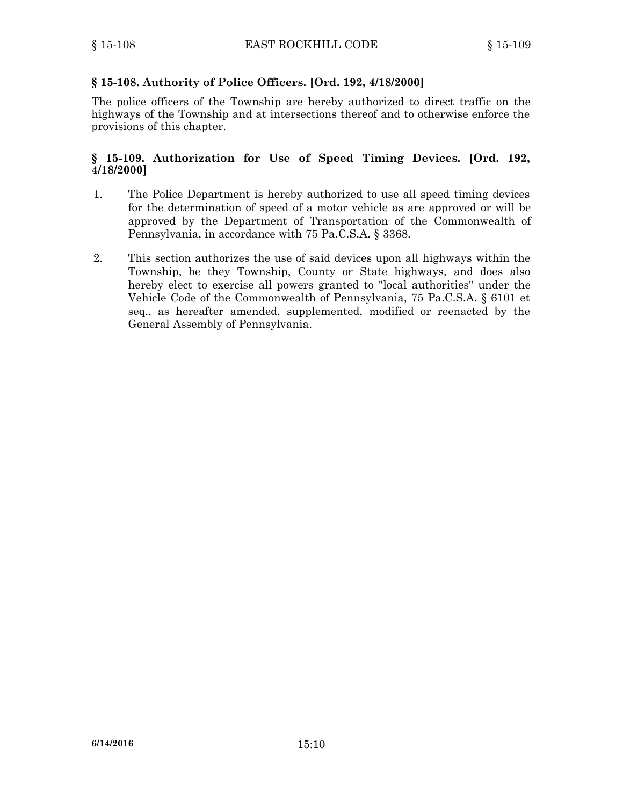## **§ 15-108. Authority of Police Officers. [Ord. 192, 4/18/2000]**

The police officers of the Township are hereby authorized to direct traffic on the highways of the Township and at intersections thereof and to otherwise enforce the provisions of this chapter.

### **§ 15-109. Authorization for Use of Speed Timing Devices. [Ord. 192, 4/18/2000]**

- 1. The Police Department is hereby authorized to use all speed timing devices for the determination of speed of <sup>a</sup> motor vehicle as are approved or will be approved by the Department of Transportation of the Commonwealth of Pennsylvania, in accordance with 75 Pa.C.S.A. § 3368.
- 2. This section authorizes the use of said devices upon all highways within the Township, be they Township, County or State highways, and does also hereby elect to exercise all powers granted to "local authorities" under the Vehicle Code of the Commonwealth of Pennsylvania, 75 Pa.C.S.A. § 6101 et seq., as hereafter amended, supplemented, modified or reenacted by the General Assembly of Pennsylvania.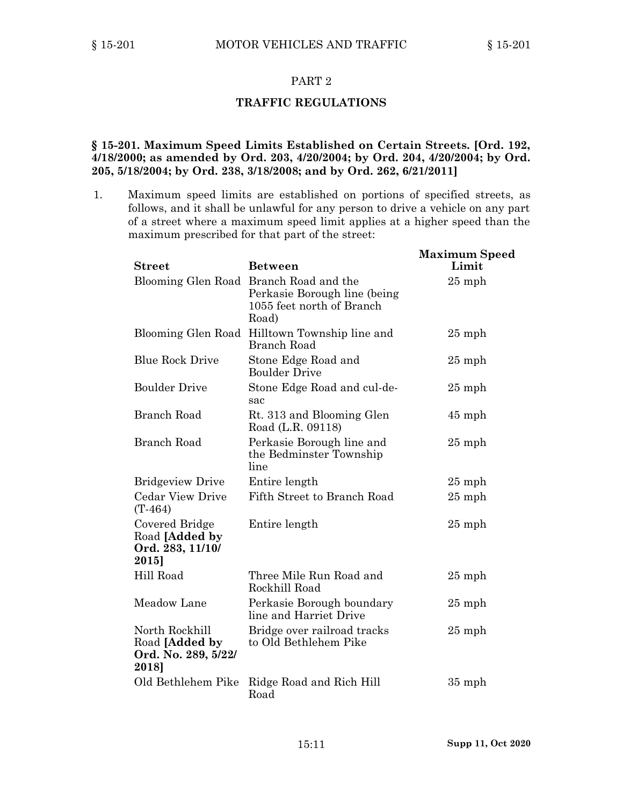#### **TRAFFIC REGULATIONS**

### **§ 15-201. Maximum Speed Limits Established on Certain Streets. [Ord. 192, 4/18/2000; as amended by Ord. 203, 4/20/2004; by Ord. 204, 4/20/2004; by Ord. 205, 5/18/2004; by Ord. 238, 3/18/2008; and by Ord. 262, 6/21/2011]**

1. Maximum speed limits are established on portions of specified streets, as follows, and it shall be unlawful for any person to drive <sup>a</sup> vehicle on any part of <sup>a</sup> street where <sup>a</sup> maximum speed limit applies at <sup>a</sup> higher speed than the maximum prescribed for that part of the street:

| <b>Street</b>                                                    | <b>Between</b>                                                                                                | <b>Maximum Speed</b><br>Limit |
|------------------------------------------------------------------|---------------------------------------------------------------------------------------------------------------|-------------------------------|
|                                                                  | Blooming Glen Road Branch Road and the<br>Perkasie Borough line (being)<br>1055 feet north of Branch<br>Road) | $25$ mph                      |
|                                                                  | Blooming Glen Road Hilltown Township line and<br>Branch Road                                                  | $25$ mph                      |
| <b>Blue Rock Drive</b>                                           | Stone Edge Road and<br><b>Boulder Drive</b>                                                                   | $25$ mph                      |
| <b>Boulder Drive</b>                                             | Stone Edge Road and cul-de-<br>sac                                                                            | $25$ mph                      |
| Branch Road                                                      | Rt. 313 and Blooming Glen<br>Road (L.R. 09118)                                                                | $45$ mph                      |
| <b>Branch Road</b>                                               | Perkasie Borough line and<br>the Bedminster Township<br>line                                                  | $25$ mph                      |
| <b>Bridgeview Drive</b>                                          | Entire length                                                                                                 | $25$ mph                      |
| <b>Cedar View Drive</b><br>$(T-464)$                             | Fifth Street to Branch Road                                                                                   | $25$ mph                      |
| Covered Bridge<br>Road [Added by<br>Ord. 283, 11/10/<br>2015]    | Entire length                                                                                                 | $25$ mph                      |
| Hill Road                                                        | Three Mile Run Road and<br>Rockhill Road                                                                      | $25$ mph                      |
| Meadow Lane                                                      | Perkasie Borough boundary<br>line and Harriet Drive                                                           | $25$ mph                      |
| North Rockhill<br>Road [Added by<br>Ord. No. 289, 5/22/<br>2018] | Bridge over railroad tracks<br>to Old Bethlehem Pike                                                          | $25$ mph                      |
| Old Bethlehem Pike                                               | Ridge Road and Rich Hill<br>Road                                                                              | $35$ mph                      |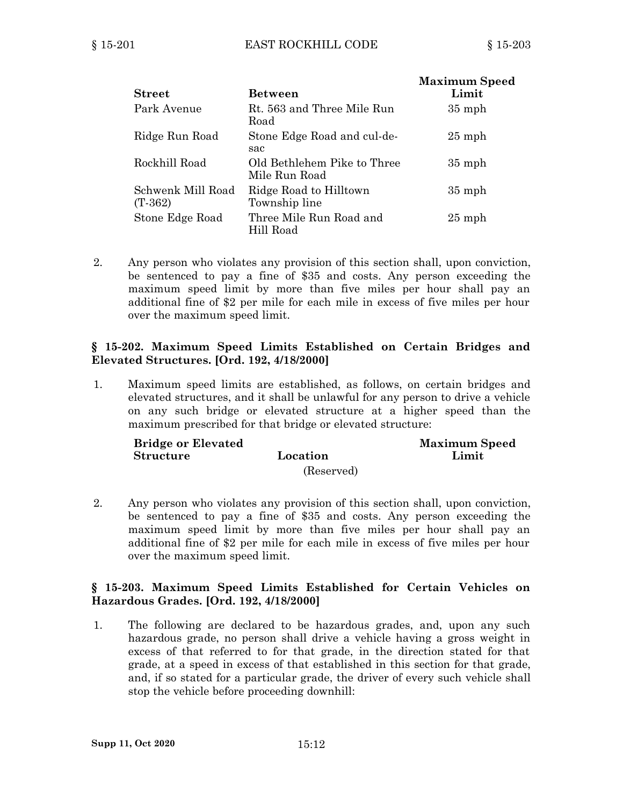| <b>Street</b>                  | <b>Between</b>                               | <b>Maximum Speed</b><br>Limit |
|--------------------------------|----------------------------------------------|-------------------------------|
| Park Avenue                    | Rt. 563 and Three Mile Run<br>Road           | $35$ mph                      |
| Ridge Run Road                 | Stone Edge Road and cul-de-<br>sac           | $25$ mph                      |
| Rockhill Road                  | Old Bethlehem Pike to Three<br>Mile Run Road | $35$ mph                      |
| Schwenk Mill Road<br>$(T-362)$ | Ridge Road to Hilltown<br>Township line      | $35$ mph                      |
| Stone Edge Road                | Three Mile Run Road and<br>Hill Road         | $25$ mph                      |

2. Any person who violates any provision of this section shall, upon conviction, be sentenced to pay <sup>a</sup> fine of \$35 and costs. Any person exceeding the maximum speed limit by more than five miles per hour shall pay an additional fine of \$2 per mile for each mile in excess of five miles per hour over the maximum speed limit.

### **§ 15-202. Maximum Speed Limits Established on Certain Bridges and Elevated Structures. [Ord. 192, 4/18/2000]**

1. Maximum speed limits are established, as follows, on certain bridges and elevated structures, and it shall be unlawful for any person to drive <sup>a</sup> vehicle on any such bridge or elevated structure at <sup>a</sup> higher speed than the maximum prescribed for that bridge or elevated structure:

| <b>Bridge or Elevated</b> |            | <b>Maximum Speed</b> |
|---------------------------|------------|----------------------|
| <b>Structure</b>          | Location   | Limit                |
|                           | (Reserved) |                      |

2. Any person who violates any provision of this section shall, upon conviction, be sentenced to pay <sup>a</sup> fine of \$35 and costs. Any person exceeding the maximum speed limit by more than five miles per hour shall pay an additional fine of \$2 per mile for each mile in excess of five miles per hour over the maximum speed limit.

### **§ 15-203. Maximum Speed Limits Established for Certain Vehicles on Hazardous Grades. [Ord. 192, 4/18/2000]**

1. The following are declared to be hazardous grades, and, upon any such hazardous grade, no person shall drive <sup>a</sup> vehicle having <sup>a</sup> gross weight in excess of that referred to for that grade, in the direction stated for that grade, at <sup>a</sup> speed in excess of that established in this section for that grade, and, if so stated for <sup>a</sup> particular grade, the driver of every such vehicle shall stop the vehicle before proceeding downhill: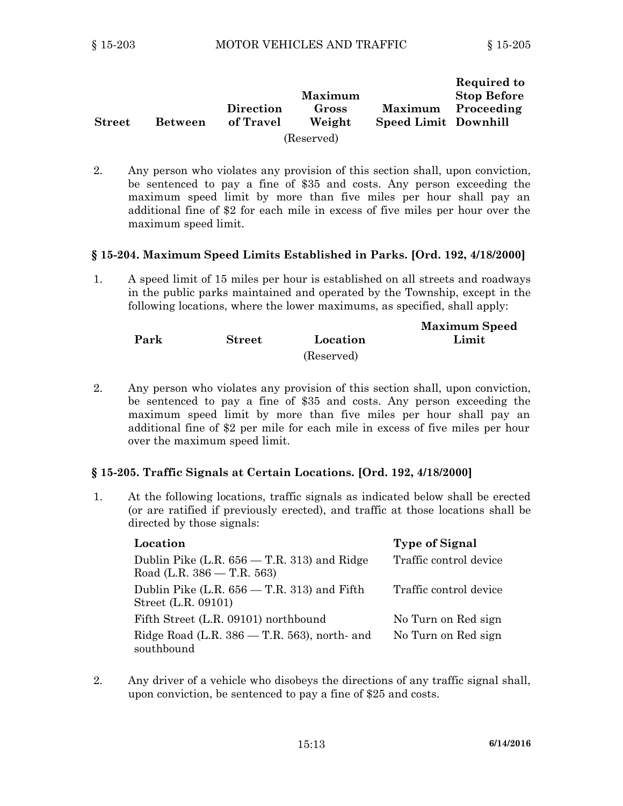| <b>Street</b> | <b>Between</b> | Direction<br>of Travel | Maximum<br>Gross<br>Weight | <b>Maximum</b><br><b>Speed Limit Downhill</b> | Required to<br><b>Stop Before</b><br>Proceeding |
|---------------|----------------|------------------------|----------------------------|-----------------------------------------------|-------------------------------------------------|
|               |                |                        | (Reserved)                 |                                               |                                                 |

2. Any person who violates any provision of this section shall, upon conviction, be sentenced to pay <sup>a</sup> fine of \$35 and costs. Any person exceeding the maximum speed limit by more than five miles per hour shall pay an additional fine of \$2 for each mile in excess of five miles per hour over the maximum speed limit.

### **§ 15-204. Maximum Speed Limits Established in Parks. [Ord. 192, 4/18/2000]**

1. A speed limit of 15 miles per hour is established on all streets and roadways in the public parks maintained and operated by the Township, except in the following locations, where the lower maximums, as specified, shall apply:

|      |               |            | <b>Maximum Speed</b> |
|------|---------------|------------|----------------------|
| Park | <b>Street</b> | Location   | Limit                |
|      |               | (Reserved) |                      |

2. Any person who violates any provision of this section shall, upon conviction, be sentenced to pay <sup>a</sup> fine of \$35 and costs. Any person exceeding the maximum speed limit by more than five miles per hour shall pay an additional fine of \$2 per mile for each mile in excess of five miles per hour over the maximum speed limit.

### **§ 15-205. Traffic Signals at Certain Locations. [Ord. 192, 4/18/2000]**

1. At the following locations, traffic signals as indicated below shall be erected (or are ratified if previously erected), and traffic at those locations shall be directed by those signals:

| Location                                                      | <b>Type of Signal</b>  |
|---------------------------------------------------------------|------------------------|
| Dublin Pike $(L.R. 656 - T.R. 313)$ and Ridge                 | Traffic control device |
| Road (L.R. $386 - T.R. 563$ )                                 |                        |
| Dublin Pike $(L.R. 656 - T.R. 313)$ and Fifth                 | Traffic control device |
| Street (L.R. 09101)                                           |                        |
| Fifth Street (L.R. 09101) northbound                          | No Turn on Red sign    |
| Ridge Road (L.R. $386 - T.R. 563$ ), north- and<br>southbound | No Turn on Red sign    |

2. Any driver of <sup>a</sup> vehicle who disobeys the directions of any traffic signal shall, upon conviction, be sentenced to pay <sup>a</sup> fine of \$25 and costs.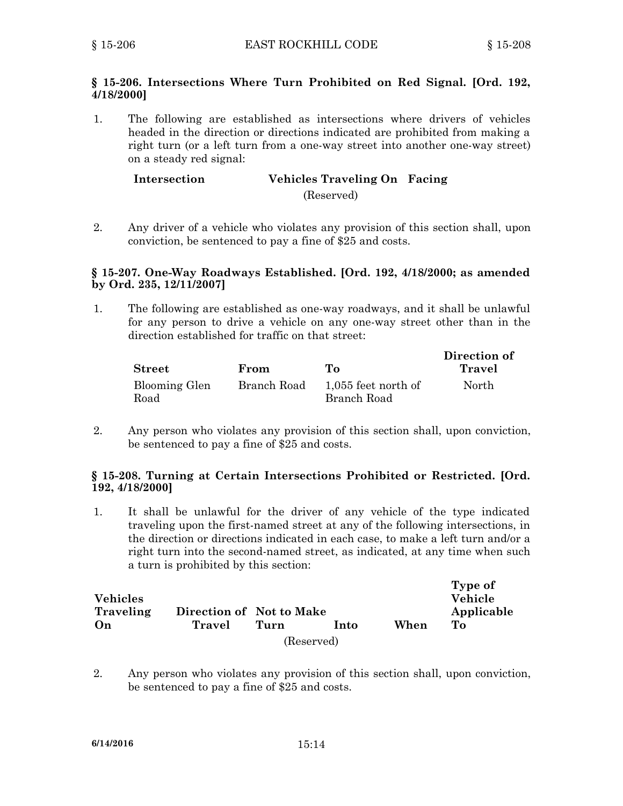### **§ 15-206. Intersections Where Turn Prohibited on Red Signal. [Ord. 192, 4/18/2000]**

1. The following are established as intersections where drivers of vehicles headed in the direction or directions indicated are prohibited from making <sup>a</sup> right turn (or <sup>a</sup> left turn from <sup>a</sup> one-way street into another one-way street) on <sup>a</sup> steady red signal:

### **Intersection Vehicles Traveling On Facing** (Reserved)

2. Any driver of <sup>a</sup> vehicle who violates any provision of this section shall, upon conviction, be sentenced to pay <sup>a</sup> fine of \$25 and costs.

### **§ 15-207. One-Way Roadways Established. [Ord. 192, 4/18/2000; as amended by Ord. 235, 12/11/2007]**

1. The following are established as one-way roadways, and it shall be unlawful for any person to drive <sup>a</sup> vehicle on any one-way street other than in the direction established for traffic on that street:

|                |             |                       | Direction of |
|----------------|-------------|-----------------------|--------------|
| ${\bf Street}$ | From        | To.                   | Travel       |
| Blooming Glen  | Branch Road | $1,055$ feet north of | North        |
| Road           |             | Branch Road           |              |

2. Any person who violates any provision of this section shall, upon conviction, be sentenced to pay <sup>a</sup> fine of \$25 and costs.

### **§ 15-208. Turning at Certain Intersections Prohibited or Restricted. [Ord. 192, 4/18/2000]**

1. It shall be unlawful for the driver of any vehicle of the type indicated traveling upon the first-named street at any of the following intersections, in the direction or directions indicated in each case, to make <sup>a</sup> left turn and/or <sup>a</sup> right turn into the second-named street, as indicated, at any time when such <sup>a</sup> turn is prohibited by this section:

| <b>Vehicles</b><br>Traveling | Direction of Not to Make |      |             |      | Type of<br><b>Vehicle</b><br>Applicable |
|------------------------------|--------------------------|------|-------------|------|-----------------------------------------|
| On                           | Travel                   | Turn | <u>Into</u> | When | To To                                   |
|                              |                          |      | (Reserved)  |      |                                         |

2. Any person who violates any provision of this section shall, upon conviction, be sentenced to pay <sup>a</sup> fine of \$25 and costs.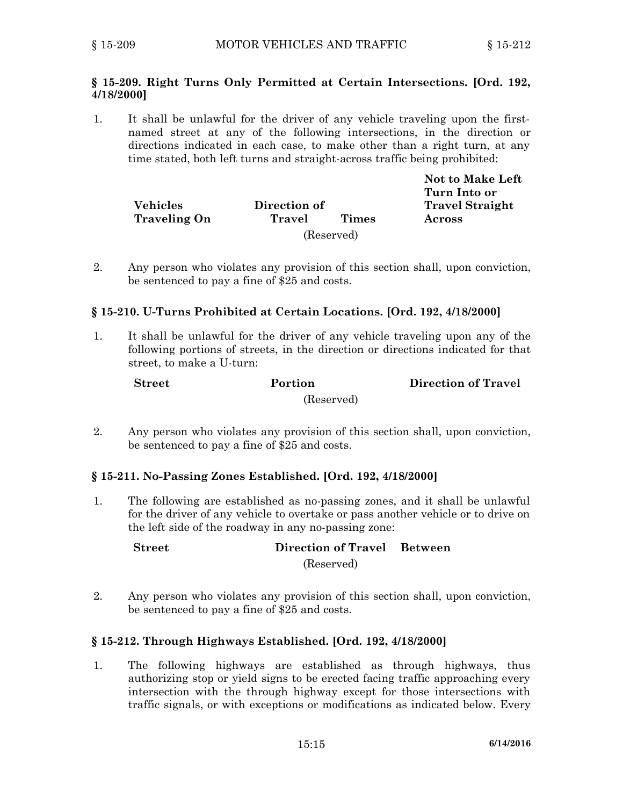### **§ 15-209. Right Turns Only Permitted at Certain Intersections. [Ord. 192, 4/18/2000]**

1. It shall be unlawful for the driver of any vehicle traveling upon the firstnamed street at any of the following intersections, in the direction or directions indicated in each case, to make other than <sup>a</sup> right turn, at any time stated, both left turns and straight-across traffic being prohibited:

|                     |              |              | <b>Not to Make Left</b> |
|---------------------|--------------|--------------|-------------------------|
|                     |              |              | Turn Into or            |
| <b>Vehicles</b>     | Direction of |              | <b>Travel Straight</b>  |
| <b>Traveling On</b> | Travel       | <b>Times</b> | Across                  |
|                     |              | (Reserved)   |                         |

2. Any person who violates any provision of this section shall, upon conviction, be sentenced to pay <sup>a</sup> fine of \$25 and costs.

### **§ 15-210. U-Turns Prohibited at Certain Locations. [Ord. 192, 4/18/2000]**

1. It shall be unlawful for the driver of any vehicle traveling upon any of the following portions of streets, in the direction or directions indicated for that street, to make <sup>a</sup> U-turn:

| <b>Street</b> | Portion    | <b>Direction of Travel</b> |
|---------------|------------|----------------------------|
|               | (Reserved) |                            |

2. Any person who violates any provision of this section shall, upon conviction, be sentenced to pay <sup>a</sup> fine of \$25 and costs.

### **§ 15-211. No-Passing Zones Established. [Ord. 192, 4/18/2000]**

1. The following are established as no-passing zones, and it shall be unlawful for the driver of any vehicle to overtake or pass another vehicle or to drive on the left side of the roadway in any no-passing zone:

**Street Direction of Travel Between**

(Reserved)

2. Any person who violates any provision of this section shall, upon conviction, be sentenced to pay <sup>a</sup> fine of \$25 and costs.

### **§ 15-212. Through Highways Established. [Ord. 192, 4/18/2000]**

1. The following highways are established as through highways, thus authorizing stop or yield signs to be erected facing traffic approaching every intersection with the through highway except for those intersections with traffic signals, or with exceptions or modifications as indicated below. Every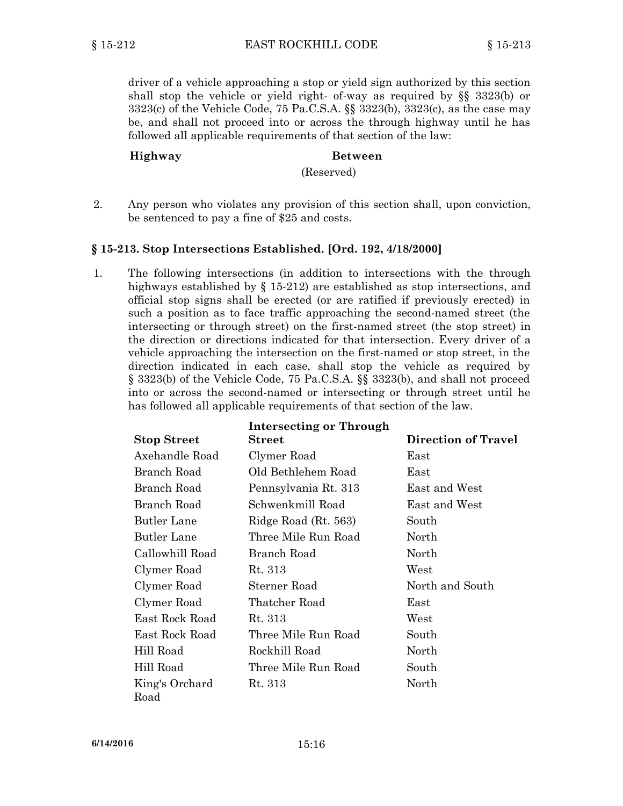driver of <sup>a</sup> vehicle approaching <sup>a</sup> stop or yield sign authorized by this section shall stop the vehicle or yield right- of-way as required by §§ 3323(b) or 3323(c) of the Vehicle Code, 75 Pa.C.S.A. §§ 3323(b), 3323(c), as the case may be, and shall not proceed into or across the through highway until he has followed all applicable requirements of that section of the law:

### **Highway Between**

(Reserved)

2. Any person who violates any provision of this section shall, upon conviction, be sentenced to pay <sup>a</sup> fine of \$25 and costs.

### **§ 15-213. Stop Intersections Established. [Ord. 192, 4/18/2000]**

1. The following intersections (in addition to intersections with the through highways established by § 15-212) are established as stop intersections, and official stop signs shall be erected (or are ratified if previously erected) in such <sup>a</sup> position as to face traffic approaching the second-named street (the intersecting or through street) on the first-named street (the stop street) in the direction or directions indicated for that intersection. Every driver of <sup>a</sup> vehicle approaching the intersection on the first-named or stop street, in the direction indicated in each case, shall stop the vehicle as required by § 3323(b) of the Vehicle Code, 75 Pa.C.S.A. §§ 3323(b), and shall not proceed into or across the second-named or intersecting or through street until he has followed all applicable requirements of that section of the law.

| <b>Intersecting or Through</b> |                      |                            |  |
|--------------------------------|----------------------|----------------------------|--|
| <b>Stop Street</b>             | $\bf Street$         | <b>Direction of Travel</b> |  |
| Axehandle Road                 | Clymer Road          | East                       |  |
| Branch Road                    | Old Bethlehem Road   | East                       |  |
| Branch Road                    | Pennsylvania Rt. 313 | East and West              |  |
| Branch Road                    | Schwenkmill Road     | East and West              |  |
| Butler Lane                    | Ridge Road (Rt. 563) | South                      |  |
| Butler Lane                    | Three Mile Run Road  | North                      |  |
| Callowhill Road                | Branch Road          | North                      |  |
| Clymer Road                    | Rt. 313              | West                       |  |
| Clymer Road                    | Sterner Road         | North and South            |  |
| Clymer Road                    | Thatcher Road        | East                       |  |
| East Rock Road                 | Rt. 313              | West                       |  |
| East Rock Road                 | Three Mile Run Road  | South                      |  |
| Hill Road                      | Rockhill Road        | North                      |  |
| Hill Road                      | Three Mile Run Road  | South                      |  |
| King's Orchard<br>Road         | Rt. 313              | North                      |  |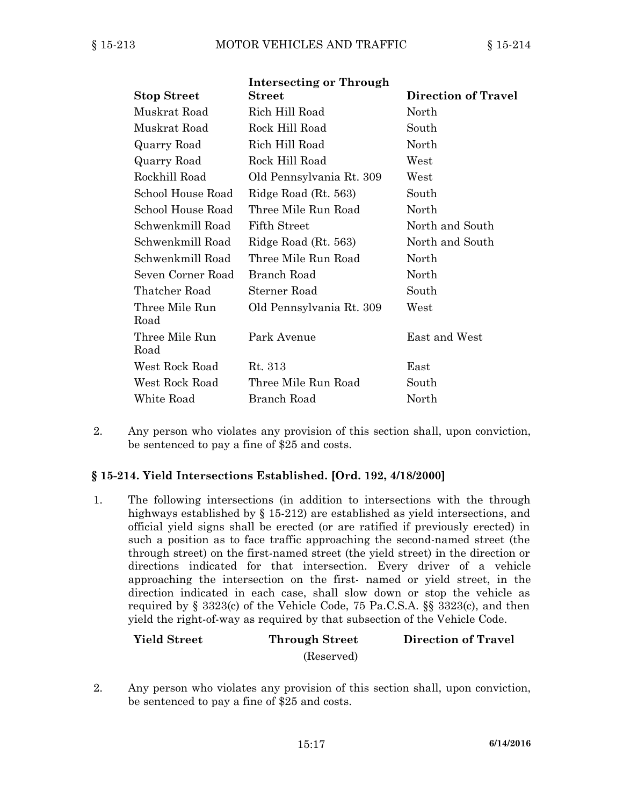|                        | <b>Intersecting or Through</b> |                            |
|------------------------|--------------------------------|----------------------------|
| <b>Stop Street</b>     | Street                         | <b>Direction of Travel</b> |
| Muskrat Road           | Rich Hill Road                 | North                      |
| Muskrat Road           | Rock Hill Road                 | South                      |
| Quarry Road            | Rich Hill Road                 | North                      |
| Quarry Road            | Rock Hill Road                 | West                       |
| Rockhill Road          | Old Pennsylvania Rt. 309       | West                       |
| School House Road      | Ridge Road (Rt. 563)           | South                      |
| School House Road      | Three Mile Run Road            | North                      |
| Schwenkmill Road       | <b>Fifth Street</b>            | North and South            |
| Schwenkmill Road       | Ridge Road (Rt. 563)           | North and South            |
| Schwenkmill Road       | Three Mile Run Road            | North                      |
| Seven Corner Road      | Branch Road                    | North                      |
| Thatcher Road          | Sterner Road                   | South                      |
| Three Mile Run<br>Road | Old Pennsylvania Rt. 309       | West                       |
| Three Mile Run<br>Road | Park Avenue                    | East and West              |
| West Rock Road         | Rt. 313                        | East                       |
| West Rock Road         | Three Mile Run Road            | South                      |
| White Road             | Branch Road                    | North                      |
|                        |                                |                            |

2. Any person who violates any provision of this section shall, upon conviction, be sentenced to pay <sup>a</sup> fine of \$25 and costs.

### **§ 15-214. Yield Intersections Established. [Ord. 192, 4/18/2000]**

1. The following intersections (in addition to intersections with the through highways established by § 15-212) are established as yield intersections, and official yield signs shall be erected (or are ratified if previously erected) in such <sup>a</sup> position as to face traffic approaching the second-named street (the through street) on the first-named street (the yield street) in the direction or directions indicated for that intersection. Every driver of <sup>a</sup> vehicle approaching the intersection on the first- named or yield street, in the direction indicated in each case, shall slow down or stop the vehicle as required by § 3323(c) of the Vehicle Code, 75 Pa.C.S.A. §§ 3323(c), and then yield the right-of-way as required by that subsection of the Vehicle Code.

## **Yield Street Through Street Direction of Travel** (Reserved)

2. Any person who violates any provision of this section shall, upon conviction, be sentenced to pay <sup>a</sup> fine of \$25 and costs.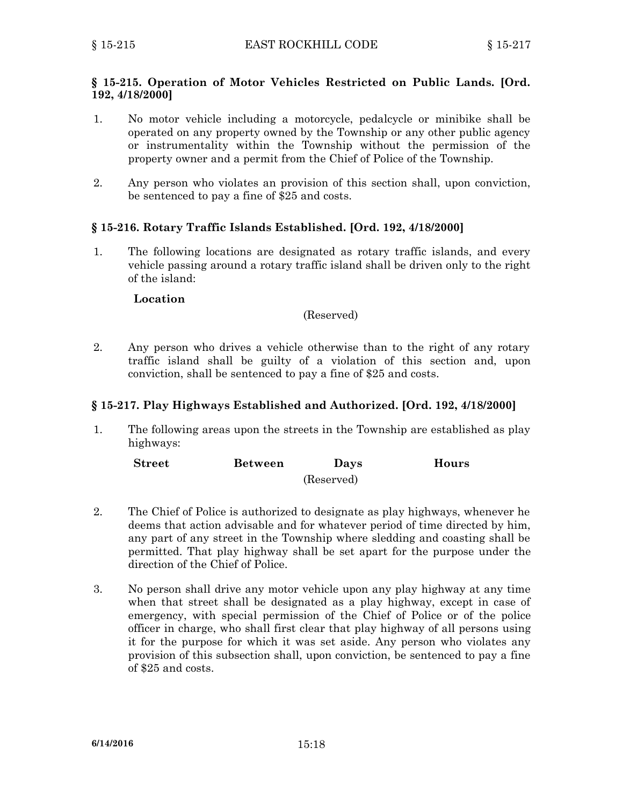### **§ 15-215. Operation of Motor Vehicles Restricted on Public Lands. [Ord. 192, 4/18/2000]**

- 1. No motor vehicle including <sup>a</sup> motorcycle, pedalcycle or minibike shall be operated on any property owned by the Township or any other public agency or instrumentality within the Township without the permission of the property owner and <sup>a</sup> permit from the Chief of Police of the Township.
- 2. Any person who violates an provision of this section shall, upon conviction, be sentenced to pay <sup>a</sup> fine of \$25 and costs.

### **§ 15-216. Rotary Traffic Islands Established. [Ord. 192, 4/18/2000]**

1. The following locations are designated as rotary traffic islands, and every vehicle passing around <sup>a</sup> rotary traffic island shall be driven only to the right of the island:

#### **Location**

#### (Reserved)

2. Any person who drives <sup>a</sup> vehicle otherwise than to the right of any rotary traffic island shall be guilty of <sup>a</sup> violation of this section and, upon conviction, shall be sentenced to pay <sup>a</sup> fine of \$25 and costs.

#### **§ 15-217. Play Highways Established and Authorized. [Ord. 192, 4/18/2000]**

1. The following areas upon the streets in the Township are established as play highways:

| $\bf Street$ | <b>Between</b> | Days       | Hours |
|--------------|----------------|------------|-------|
|              |                | (Reserved) |       |

- 2. The Chief of Police is authorized to designate as play highways, whenever he deems that action advisable and for whatever period of time directed by him, any part of any street in the Township where sledding and coasting shall be permitted. That play highway shall be set apart for the purpose under the direction of the Chief of Police.
- 3. No person shall drive any motor vehicle upon any play highway at any time when that street shall be designated as <sup>a</sup> play highway, except in case of emergency, with special permission of the Chief of Police or of the police officer in charge, who shall first clear that play highway of all persons using it for the purpose for which it was set aside. Any person who violates any provision of this subsection shall, upon conviction, be sentenced to pay <sup>a</sup> fine of \$25 and costs.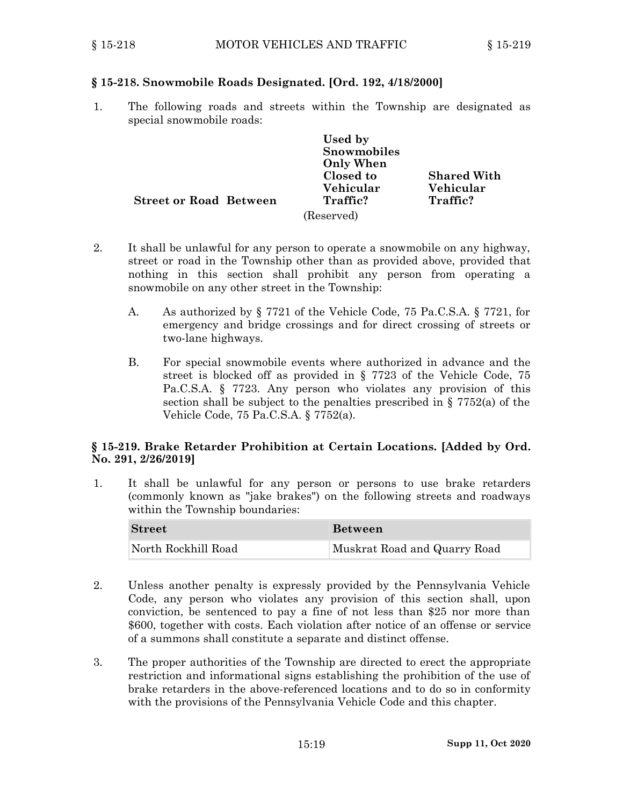## **§ 15-218. Snowmobile Roads Designated. [Ord. 192, 4/18/2000]**

1. The following roads and streets within the Township are designated as special snowmobile roads:

|                        | Used by          |                    |
|------------------------|------------------|--------------------|
|                        | Snowmobiles      |                    |
|                        | <b>Only When</b> |                    |
|                        | Closed to        | <b>Shared With</b> |
|                        | Vehicular        | Vehicular          |
| Street or Road Between | Traffic?         | Traffic?           |
|                        | (Reserved)       |                    |

- 2. It shall be unlawful for any person to operate <sup>a</sup> snowmobile on any highway, street or road in the Township other than as provided above, provided that nothing in this section shall prohibit any person from operating <sup>a</sup> snowmobile on any other street in the Township:
	- A. As authorized by § 7721 of the Vehicle Code, 75 Pa.C.S.A. § 7721, for emergency and bridge crossings and for direct crossing of streets or two-lane highways.
	- B. For special snowmobile events where authorized in advance and the street is blocked off as provided in § 7723 of the Vehicle Code, 75 Pa.C.S.A. § 7723. Any person who violates any provision of this section shall be subject to the penalties prescribed in § 7752(a) of the Vehicle Code, 75 Pa.C.S.A. § 7752(a).

### **§ 15-219. Brake Retarder Prohibition at Certain Locations. [Added by Ord. No. 291, 2/26/2019]**

1. It shall be unlawful for any person or persons to use brake retarders (commonly known as "jake brakes") on the following streets and roadways within the Township boundaries:

| <b>Street</b>       | <b>Between</b>               |
|---------------------|------------------------------|
| North Rockhill Road | Muskrat Road and Quarry Road |

- 2. Unless another penalty is expressly provided by the Pennsylvania Vehicle Code, any person who violates any provision of this section shall, upon conviction, be sentenced to pay <sup>a</sup> fine of not less than \$25 nor more than \$600, together with costs. Each violation after notice of an offense or service of <sup>a</sup> summons shall constitute <sup>a</sup> separate and distinct offense.
- 3. The proper authorities of the Township are directed to erect the appropriate restriction and informational signs establishing the prohibition of the use of brake retarders in the above-referenced locations and to do so in conformity with the provisions of the Pennsylvania Vehicle Code and this chapter.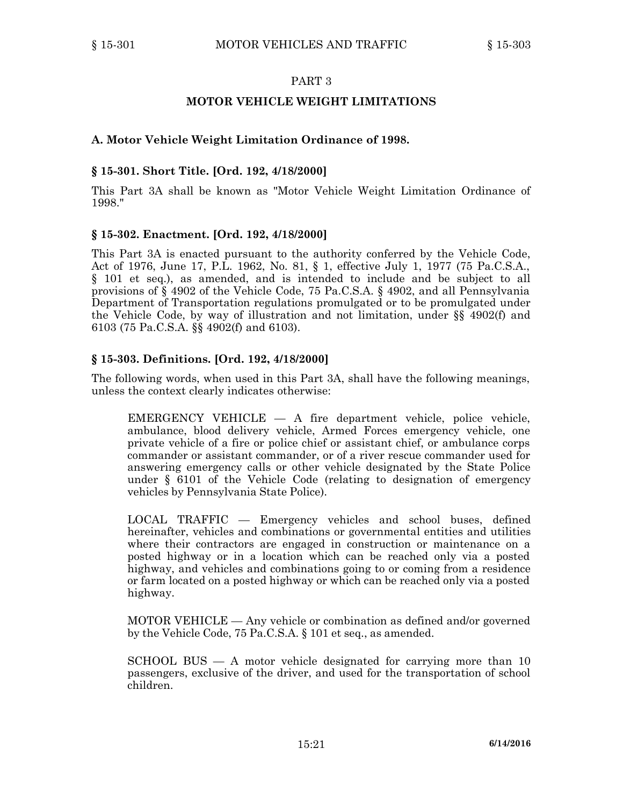### **MOTOR VEHICLE WEIGHT LIMITATIONS**

### **A. Motor Vehicle Weight Limitation Ordinance of 1998.**

### **§ 15-301. Short Title. [Ord. 192, 4/18/2000]**

This Part 3A shall be known as "Motor Vehicle Weight Limitation Ordinance of 1998."

#### **§ 15-302. Enactment. [Ord. 192, 4/18/2000]**

This Part 3A is enacted pursuant to the authority conferred by the Vehicle Code, Act of 1976, June 17, P.L. 1962, No. 81, § 1, effective July 1, 1977 (75 Pa.C.S.A., § 101 et seq.), as amended, and is intended to include and be subject to all provisions of § 4902 of the Vehicle Code, 75 Pa.C.S.A. § 4902, and all Pennsylvania Department of Transportation regulations promulgated or to be promulgated under the Vehicle Code, by way of illustration and not limitation, under §§ 4902(f) and 6103 (75 Pa.C.S.A. §§ 4902(f) and 6103).

### **§ 15-303. Definitions. [Ord. 192, 4/18/2000]**

The following words, when used in this Part 3A, shall have the following meanings, unless the context clearly indicates otherwise:

EMERGENCY VEHICLE — A fire department vehicle, police vehicle, ambulance, blood delivery vehicle, Armed Forces emergency vehicle, one private vehicle of <sup>a</sup> fire or police chief or assistant chief, or ambulance corps commander or assistant commander, or of <sup>a</sup> river rescue commander used for answering emergency calls or other vehicle designated by the State Police under § 6101 of the Vehicle Code (relating to designation of emergency vehicles by Pennsylvania State Police).

LOCAL TRAFFIC — Emergency vehicles and school buses, defined hereinafter, vehicles and combinations or governmental entities and utilities where their contractors are engaged in construction or maintenance on <sup>a</sup> posted highway or in <sup>a</sup> location which can be reached only via <sup>a</sup> posted highway, and vehicles and combinations going to or coming from a residence or farm located on <sup>a</sup> posted highway or which can be reached only via <sup>a</sup> posted highway.

MOTOR VEHICLE — Any vehicle or combination as defined and/or governed by the Vehicle Code, 75 Pa.C.S.A. § 101 et seq., as amended.

SCHOOL BUS  $- A$  motor vehicle designated for carrying more than 10 passengers, exclusive of the driver, and used for the transportation of school children.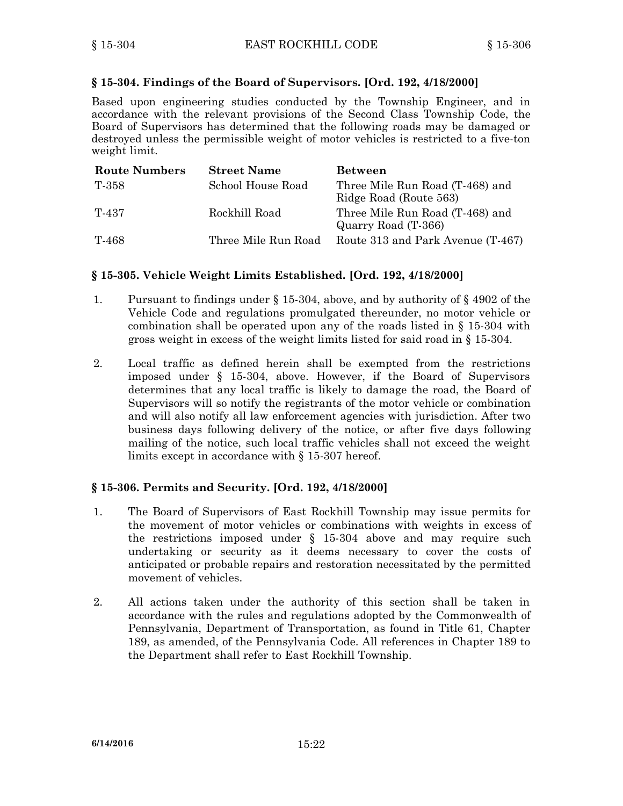### **§ 15-304. Findings of the Board of Supervisors. [Ord. 192, 4/18/2000]**

Based upon engineering studies conducted by the Township Engineer, and in accordance with the relevant provisions of the Second Class Township Code, the Board of Supervisors has determined that the following roads may be damaged or destroyed unless the permissible weight of motor vehicles is restricted to <sup>a</sup> five-ton weight limit.

| <b>Route Numbers</b> | <b>Street Name</b>  | <b>Between</b>                                            |
|----------------------|---------------------|-----------------------------------------------------------|
| T-358                | School House Road   | Three Mile Run Road (T-468) and<br>Ridge Road (Route 563) |
| T-437                | Rockhill Road       | Three Mile Run Road (T-468) and<br>Quarry Road (T-366)    |
| T-468                | Three Mile Run Road | Route 313 and Park Avenue (T-467)                         |

### **§ 15-305. Vehicle Weight Limits Established. [Ord. 192, 4/18/2000]**

- 1. Pursuant to findings under § 15-304, above, and by authority of § 4902 of the Vehicle Code and regulations promulgated thereunder, no motor vehicle or combination shall be operated upon any of the roads listed in § 15-304 with gross weight in excess of the weight limits listed for said road in § 15-304.
- 2. Local traffic as defined herein shall be exempted from the restrictions imposed under § 15-304, above. However, if the Board of Supervisors determines that any local traffic is likely to damage the road, the Board of Supervisors will so notify the registrants of the motor vehicle or combination and will also notify all law enforcement agencies with jurisdiction. After two business days following delivery of the notice, or after five days following mailing of the notice, such local traffic vehicles shall not exceed the weight limits except in accordance with § 15-307 hereof.

### **§ 15-306. Permits and Security. [Ord. 192, 4/18/2000]**

- 1. The Board of Supervisors of East Rockhill Township may issue permits for the movement of motor vehicles or combinations with weights in excess of the restrictions imposed under § 15-304 above and may require such undertaking or security as it deems necessary to cover the costs of anticipated or probable repairs and restoration necessitated by the permitted movement of vehicles.
- 2. All actions taken under the authority of this section shall be taken in accordance with the rules and regulations adopted by the Commonwealth of Pennsylvania, Department of Transportation, as found in Title 61, Chapter 189, as amended, of the Pennsylvania Code. All references in Chapter 189 to the Department shall refer to East Rockhill Township.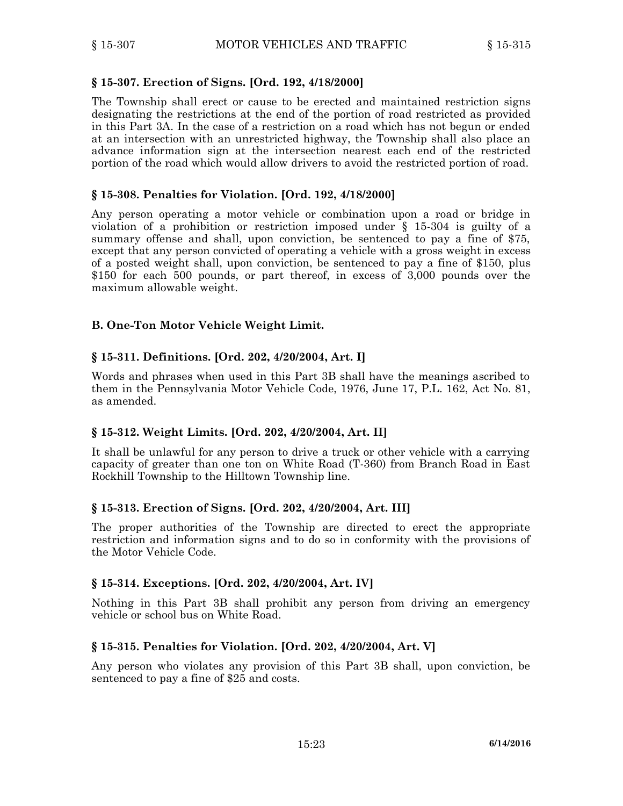### **§ 15-307. Erection of Signs. [Ord. 192, 4/18/2000]**

The Township shall erect or cause to be erected and maintained restriction signs designating the restrictions at the end of the portion of road restricted as provided in this Part 3A. In the case of <sup>a</sup> restriction on <sup>a</sup> road which has not begun or ended at an intersection with an unrestricted highway, the Township shall also place an advance information sign at the intersection nearest each end of the restricted portion of the road which would allow drivers to avoid the restricted portion of road.

### **§ 15-308. Penalties for Violation. [Ord. 192, 4/18/2000]**

Any person operating <sup>a</sup> motor vehicle or combination upon <sup>a</sup> road or bridge in violation of <sup>a</sup> prohibition or restriction imposed under § 15-304 is guilty of <sup>a</sup> summary offense and shall, upon conviction, be sentenced to pay <sup>a</sup> fine of \$75, except that any person convicted of operating <sup>a</sup> vehicle with <sup>a</sup> gross weight in excess of <sup>a</sup> posted weight shall, upon conviction, be sentenced to pay <sup>a</sup> fine of \$150, plus \$150 for each 500 pounds, or part thereof, in excess of 3,000 pounds over the maximum allowable weight.

## **B. One-Ton Motor Vehicle Weight Limit.**

### **§ 15-311. Definitions. [Ord. 202, 4/20/2004, Art. I]**

Words and phrases when used in this Part 3B shall have the meanings ascribed to them in the Pennsylvania Motor Vehicle Code, 1976, June 17, P.L. 162, Act No. 81, as amended.

### **§ 15-312. Weight Limits. [Ord. 202, 4/20/2004, Art. II]**

It shall be unlawful for any person to drive <sup>a</sup> truck or other vehicle with <sup>a</sup> carrying capacity of greater than one ton on White Road (T-360) from Branch Road in East Rockhill Township to the Hilltown Township line.

### **§ 15-313. Erection of Signs. [Ord. 202, 4/20/2004, Art. III]**

The proper authorities of the Township are directed to erect the appropriate restriction and information signs and to do so in conformity with the provisions of the Motor Vehicle Code.

### **§ 15-314. Exceptions. [Ord. 202, 4/20/2004, Art. IV]**

Nothing in this Part 3B shall prohibit any person from driving an emergency vehicle or school bus on White Road.

### **§ 15-315. Penalties for Violation. [Ord. 202, 4/20/2004, Art. V]**

Any person who violates any provision of this Part 3B shall, upon conviction, be sentenced to pay <sup>a</sup> fine of \$25 and costs.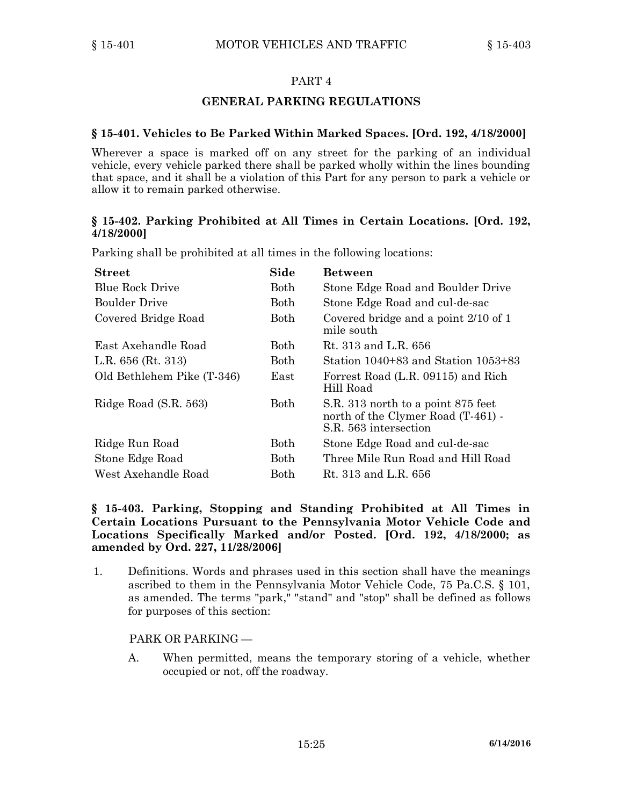### **GENERAL PARKING REGULATIONS**

### **§ 15-401. Vehicles to Be Parked Within Marked Spaces. [Ord. 192, 4/18/2000]**

Wherever <sup>a</sup> space is marked off on any street for the parking of an individual vehicle, every vehicle parked there shall be parked wholly within the lines bounding that space, and it shall be <sup>a</sup> violation of this Part for any person to park <sup>a</sup> vehicle or allow it to remain parked otherwise.

### **§ 15-402. Parking Prohibited at All Times in Certain Locations. [Ord. 192, 4/18/2000]**

| <b>Street</b>              | Side        | <b>Between</b>                                                                                    |
|----------------------------|-------------|---------------------------------------------------------------------------------------------------|
| <b>Blue Rock Drive</b>     | Both        | Stone Edge Road and Boulder Drive                                                                 |
| <b>Boulder Drive</b>       | Both        | Stone Edge Road and cul-de-sac                                                                    |
| Covered Bridge Road        | Both        | Covered bridge and a point 2/10 of 1<br>mile south                                                |
| East Axehandle Road        | Both        | Rt. 313 and L.R. 656                                                                              |
| L.R. $656$ (Rt. 313)       | Both        | Station 1040+83 and Station 1053+83                                                               |
| Old Bethlehem Pike (T-346) | East        | Forrest Road (L.R. 09115) and Rich<br>Hill Road                                                   |
| Ridge Road (S.R. 563)      | <b>Both</b> | S.R. 313 north to a point 875 feet<br>north of the Clymer Road (T-461) -<br>S.R. 563 intersection |
| Ridge Run Road             | <b>Both</b> | Stone Edge Road and cul-de-sac                                                                    |
| Stone Edge Road            | Both        | Three Mile Run Road and Hill Road                                                                 |
| West Axehandle Road        | Both        | Rt. 313 and L.R. 656                                                                              |

Parking shall be prohibited at all times in the following locations:

### **§ 15-403. Parking, Stopping and Standing Prohibited at All Times in Certain Locations Pursuant to the Pennsylvania Motor Vehicle Code and Locations Specifically Marked and/or Posted. [Ord. 192, 4/18/2000; as amended by Ord. 227, 11/28/2006]**

1. Definitions. Words and phrases used in this section shall have the meanings ascribed to them in the Pennsylvania Motor Vehicle Code, 75 Pa.C.S. § 101, as amended. The terms "park," "stand" and "stop" shall be defined as follows for purposes of this section:

### PARK OR PARKING —

A. When permitted, means the temporary storing of <sup>a</sup> vehicle, whether occupied or not, off the roadway.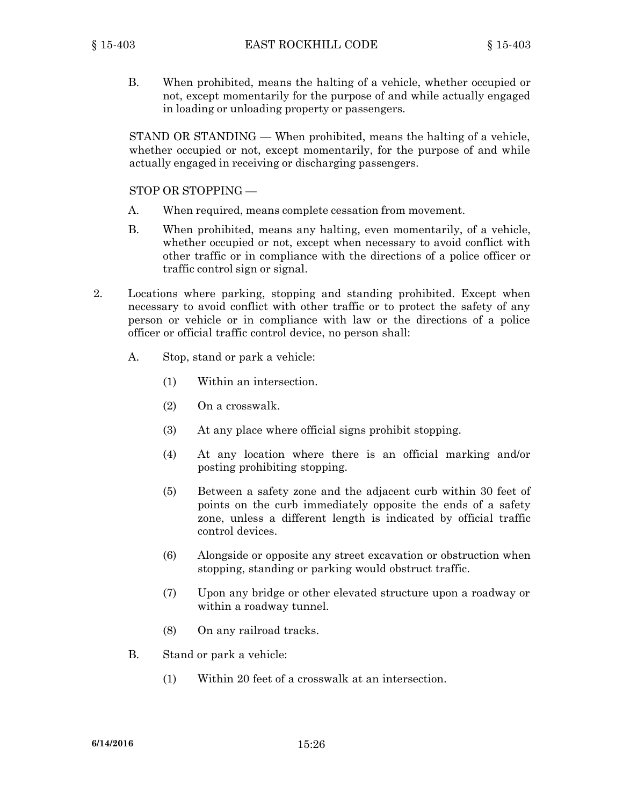B. When prohibited, means the halting of <sup>a</sup> vehicle, whether occupied or not, except momentarily for the purpose of and while actually engaged in loading or unloading property or passengers.

STAND OR STANDING — When prohibited, means the halting of <sup>a</sup> vehicle, whether occupied or not, except momentarily, for the purpose of and while actually engaged in receiving or discharging passengers.

### STOP OR STOPPING —

- A. When required, means complete cessation from movement.
- B. When prohibited, means any halting, even momentarily, of <sup>a</sup> vehicle, whether occupied or not, except when necessary to avoid conflict with other traffic or in compliance with the directions of <sup>a</sup> police officer or traffic control sign or signal.
- 2. Locations where parking, stopping and standing prohibited. Except when necessary to avoid conflict with other traffic or to protect the safety of any person or vehicle or in compliance with law or the directions of <sup>a</sup> police officer or official traffic control device, no person shall:
	- A. Stop, stand or park <sup>a</sup> vehicle:
		- (1) Within an intersection.
		- (2) On <sup>a</sup> crosswalk.
		- (3) At any place where official signs prohibit stopping.
		- (4) At any location where there is an official marking and/or posting prohibiting stopping.
		- (5) Between <sup>a</sup> safety zone and the adjacent curb within 30 feet of points on the curb immediately opposite the ends of <sup>a</sup> safety zone, unless <sup>a</sup> different length is indicated by official traffic control devices.
		- (6) Alongside or opposite any street excavation or obstruction when stopping, standing or parking would obstruct traffic.
		- (7) Upon any bridge or other elevated structure upon <sup>a</sup> roadway or within <sup>a</sup> roadway tunnel.
		- (8) On any railroad tracks.
	- B. Stand or park <sup>a</sup> vehicle:
		- (1) Within 20 feet of <sup>a</sup> crosswalk at an intersection.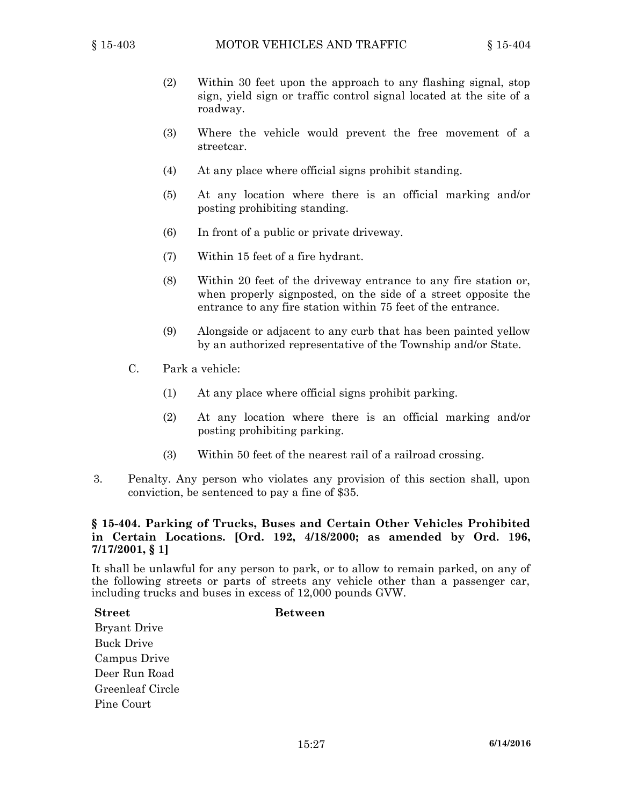- (2) Within 30 feet upon the approach to any flashing signal, stop sign, yield sign or traffic control signal located at the site of <sup>a</sup> roadway.
- (3) Where the vehicle would prevent the free movement of <sup>a</sup> streetcar.
- (4) At any place where official signs prohibit standing.
- (5) At any location where there is an official marking and/or posting prohibiting standing.
- (6) In front of <sup>a</sup> public or private driveway.
- (7) Within 15 feet of <sup>a</sup> fire hydrant.
- (8) Within 20 feet of the driveway entrance to any fire station or, when properly signposted, on the side of <sup>a</sup> street opposite the entrance to any fire station within 75 feet of the entrance.
- (9) Alongside or adjacent to any curb that has been painted yellow by an authorized representative of the Township and/or State.
- C. Park <sup>a</sup> vehicle:
	- (1) At any place where official signs prohibit parking.
	- (2) At any location where there is an official marking and/or posting prohibiting parking.
	- (3) Within 50 feet of the nearest rail of <sup>a</sup> railroad crossing.
- 3. Penalty. Any person who violates any provision of this section shall, upon conviction, be sentenced to pay <sup>a</sup> fine of \$35.

### **§ 15-404. Parking of Trucks, Buses and Certain Other Vehicles Prohibited in Certain Locations. [Ord. 192, 4/18/2000; as amended by Ord. 196, 7/17/2001, § 1]**

It shall be unlawful for any person to park, or to allow to remain parked, on any of the following streets or parts of streets any vehicle other than <sup>a</sup> passenger car, including trucks and buses in excess of 12,000 pounds GVW.

#### **Street Between**

Bryant Drive Buck Drive Campus Drive Deer Run Road Greenleaf Circle Pine Court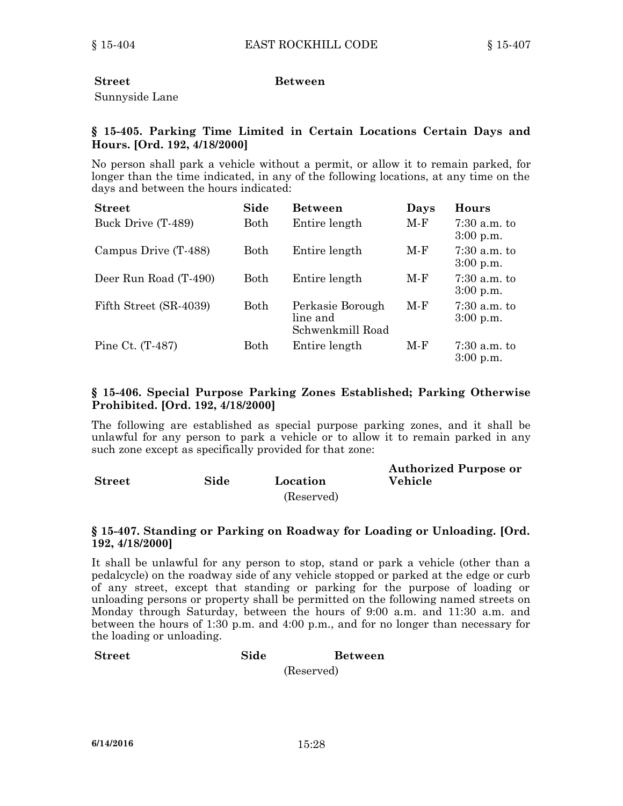### **Street Between**

Sunnyside Lane

### **§ 15-405. Parking Time Limited in Certain Locations Certain Days and Hours. [Ord. 192, 4/18/2000]**

No person shall park <sup>a</sup> vehicle without <sup>a</sup> permit, or allow it to remain parked, for longer than the time indicated, in any of the following locations, at any time on the days and between the hours indicated:

| <b>Street</b>          | Side | <b>Between</b>                                   | Days | Hours                         |
|------------------------|------|--------------------------------------------------|------|-------------------------------|
| Buck Drive (T-489)     | Both | Entire length                                    | M-F  | $7:30$ a.m. to<br>$3:00$ p.m. |
| Campus Drive (T-488)   | Both | Entire length                                    | M-F  | $7:30$ a.m. to<br>$3:00$ p.m. |
| Deer Run Road (T-490)  | Both | Entire length                                    | M-F  | $7:30$ a.m. to<br>$3:00$ p.m. |
| Fifth Street (SR-4039) | Both | Perkasie Borough<br>line and<br>Schwenkmill Road | M-F  | $7:30$ a.m. to<br>$3:00$ p.m. |
| Pine Ct. (T-487)       | Both | Entire length                                    | M-F  | $7:30$ a.m. to<br>$3:00$ p.m. |

### **§ 15-406. Special Purpose Parking Zones Established; Parking Otherwise Prohibited. [Ord. 192, 4/18/2000]**

The following are established as special purpose parking zones, and it shall be unlawful for any person to park <sup>a</sup> vehicle or to allow it to remain parked in any such zone except as specifically provided for that zone:

| <b>Street</b> | Side | Location   | <b>Authorized Purpose or</b><br>Vehicle |
|---------------|------|------------|-----------------------------------------|
|               |      | (Reserved) |                                         |

### **§ 15-407. Standing or Parking on Roadway for Loading or Unloading. [Ord. 192, 4/18/2000]**

It shall be unlawful for any person to stop, stand or park <sup>a</sup> vehicle (other than <sup>a</sup> pedalcycle) on the roadway side of any vehicle stopped or parked at the edge or curb of any street, except that standing or parking for the purpose of loading or unloading persons or property shall be permitted on the following named streets on Monday through Saturday, between the hours of 9:00 a.m. and 11:30 a.m. and between the hours of 1:30 p.m. and 4:00 p.m., and for no longer than necessary for the loading or unloading.

#### **Street Side Between**

(Reserved)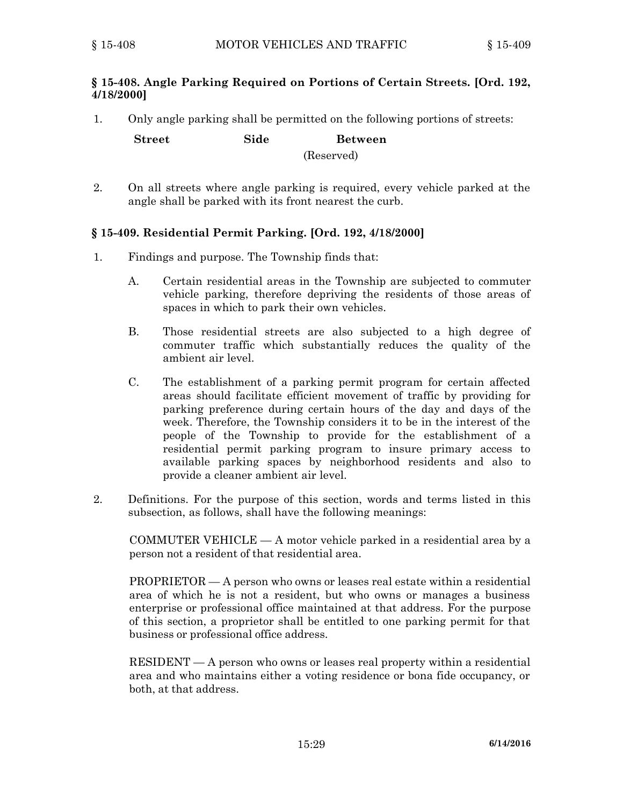### **§ 15-408. Angle Parking Required on Portions of Certain Streets. [Ord. 192, 4/18/2000]**

1. Only angle parking shall be permitted on the following portions of streets:

**Street Side Between** (Reserved)

## 2. On all streets where angle parking is required, every vehicle parked at the angle shall be parked with its front nearest the curb.

## **§ 15-409. Residential Permit Parking. [Ord. 192, 4/18/2000]**

- 1. Findings and purpose. The Township finds that:
	- A. Certain residential areas in the Township are subjected to commuter vehicle parking, therefore depriving the residents of those areas of spaces in which to park their own vehicles.
	- B. Those residential streets are also subjected to <sup>a</sup> high degree of commuter traffic which substantially reduces the quality of the ambient air level.
	- C. The establishment of <sup>a</sup> parking permit program for certain affected areas should facilitate efficient movement of traffic by providing for parking preference during certain hours of the day and days of the week. Therefore, the Township considers it to be in the interest of the people of the Township to provide for the establishment of <sup>a</sup> residential permit parking program to insure primary access to available parking spaces by neighborhood residents and also to provide <sup>a</sup> cleaner ambient air level.
- 2. Definitions. For the purpose of this section, words and terms listed in this subsection, as follows, shall have the following meanings:

COMMUTER VEHICLE — A motor vehicle parked in <sup>a</sup> residential area by <sup>a</sup> person not <sup>a</sup> resident of that residential area.

PROPRIETOR — A person who owns or leases real estate within <sup>a</sup> residential area of which he is not <sup>a</sup> resident, but who owns or manages <sup>a</sup> business enterprise or professional office maintained at that address. For the purpose of this section, <sup>a</sup> proprietor shall be entitled to one parking permit for that business or professional office address.

RESIDENT — A person who owns or leases real property within <sup>a</sup> residential area and who maintains either <sup>a</sup> voting residence or bona fide occupancy, or both, at that address.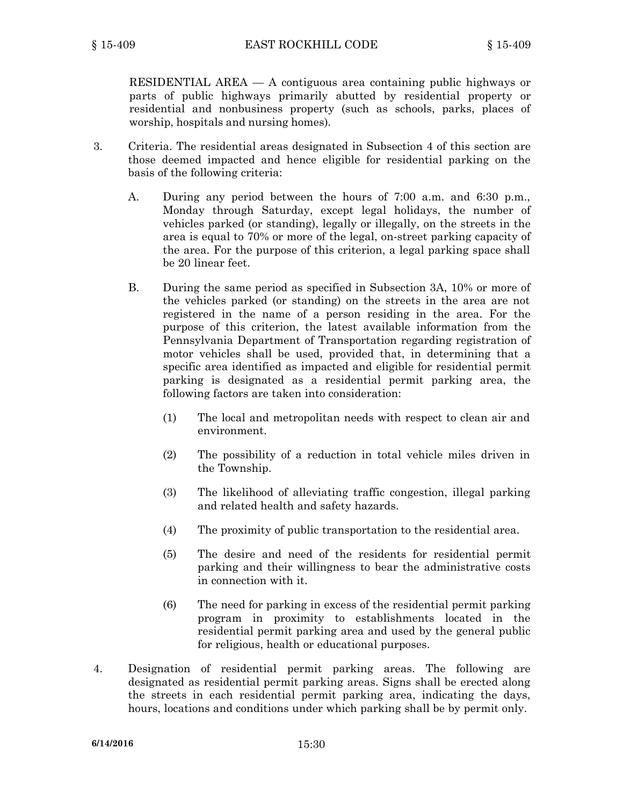RESIDENTIAL AREA — A contiguous area containing public highways or parts of public highways primarily abutted by residential property or residential and nonbusiness property (such as schools, parks, places of worship, hospitals and nursing homes).

- 3. Criteria. The residential areas designated in Subsection 4 of this section are those deemed impacted and hence eligible for residential parking on the basis of the following criteria:
	- A. During any period between the hours of 7:00 a.m. and 6:30 p.m., Monday through Saturday, except legal holidays, the number of vehicles parked (or standing), legally or illegally, on the streets in the area is equal to 70% or more of the legal, on-street parking capacity of the area. For the purpose of this criterion, <sup>a</sup> legal parking space shall be 20 linear feet.
	- B. During the same period as specified in Subsection 3A, 10% or more of the vehicles parked (or standing) on the streets in the area are not registered in the name of <sup>a</sup> person residing in the area. For the purpose of this criterion, the latest available information from the Pennsylvania Department of Transportation regarding registration of motor vehicles shall be used, provided that, in determining that <sup>a</sup> specific area identified as impacted and eligible for residential permit parking is designated as <sup>a</sup> residential permit parking area, the following factors are taken into consideration:
		- (1) The local and metropolitan needs with respect to clean air and environment.
		- (2) The possibility of <sup>a</sup> reduction in total vehicle miles driven in the Township.
		- (3) The likelihood of alleviating traffic congestion, illegal parking and related health and safety hazards.
		- (4) The proximity of public transportation to the residential area.
		- (5) The desire and need of the residents for residential permit parking and their willingness to bear the administrative costs in connection with it.
		- (6) The need for parking in excess of the residential permit parking program in proximity to establishments located in the residential permit parking area and used by the general public for religious, health or educational purposes.
- 4. Designation of residential permit parking areas. The following are designated as residential permit parking areas. Signs shall be erected along the streets in each residential permit parking area, indicating the days, hours, locations and conditions under which parking shall be by permit only.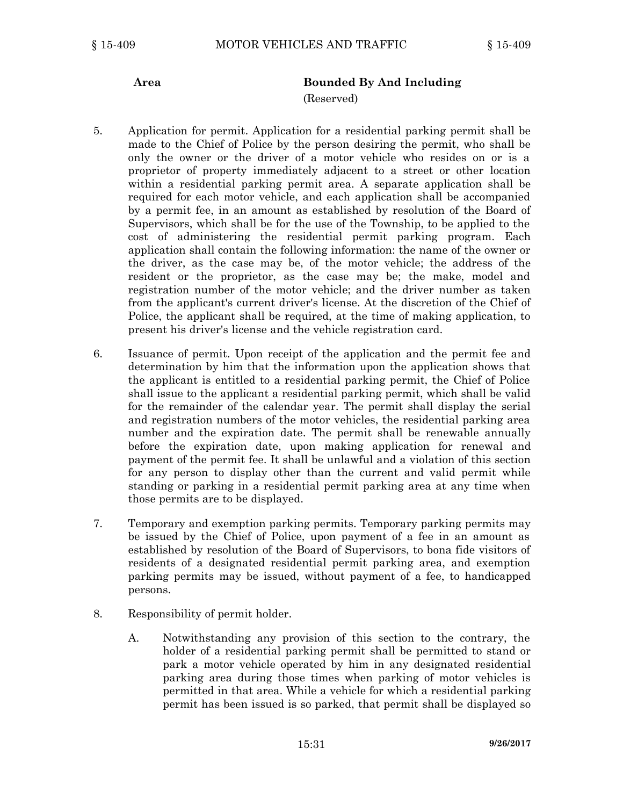## **Area Bounded By And Including**

#### (Reserved)

- 5. Application for permit. Application for <sup>a</sup> residential parking permit shall be made to the Chief of Police by the person desiring the permit, who shall be only the owner or the driver of <sup>a</sup> motor vehicle who resides on or is <sup>a</sup> proprietor of property immediately adjacent to <sup>a</sup> street or other location within <sup>a</sup> residential parking permit area. A separate application shall be required for each motor vehicle, and each application shall be accompanied by <sup>a</sup> permit fee, in an amount as established by resolution of the Board of Supervisors, which shall be for the use of the Township, to be applied to the cost of administering the residential permit parking program. Each application shall contain the following information: the name of the owner or the driver, as the case may be, of the motor vehicle; the address of the resident or the proprietor, as the case may be; the make, model and registration number of the motor vehicle; and the driver number as taken from the applicant's current driver's license. At the discretion of the Chief of Police, the applicant shall be required, at the time of making application, to present his driver's license and the vehicle registration card.
- 6. Issuance of permit. Upon receipt of the application and the permit fee and determination by him that the information upon the application shows that the applicant is entitled to <sup>a</sup> residential parking permit, the Chief of Police shall issue to the applicant <sup>a</sup> residential parking permit, which shall be valid for the remainder of the calendar year. The permit shall display the serial and registration numbers of the motor vehicles, the residential parking area number and the expiration date. The permit shall be renewable annually before the expiration date, upon making application for renewal and payment of the permit fee. It shall be unlawful and <sup>a</sup> violation of this section for any person to display other than the current and valid permit while standing or parking in <sup>a</sup> residential permit parking area at any time when those permits are to be displayed.
- 7. Temporary and exemption parking permits. Temporary parking permits may be issued by the Chief of Police, upon payment of <sup>a</sup> fee in an amount as established by resolution of the Board of Supervisors, to bona fide visitors of residents of <sup>a</sup> designated residential permit parking area, and exemption parking permits may be issued, without payment of <sup>a</sup> fee, to handicapped persons.
- 8. Responsibility of permit holder.
	- A. Notwithstanding any provision of this section to the contrary, the holder of <sup>a</sup> residential parking permit shall be permitted to stand or park <sup>a</sup> motor vehicle operated by him in any designated residential parking area during those times when parking of motor vehicles is permitted in that area. While <sup>a</sup> vehicle for which <sup>a</sup> residential parking permit has been issued is so parked, that permit shall be displayed so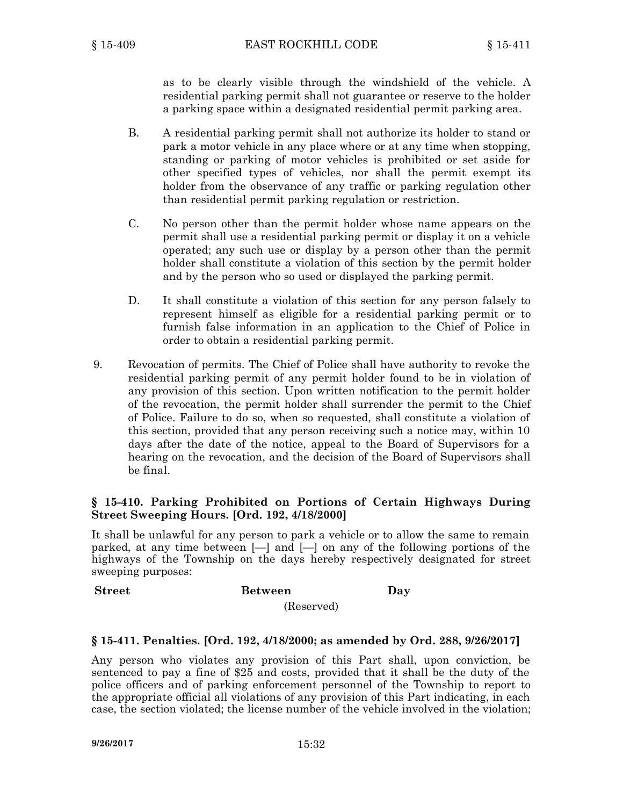as to be clearly visible through the windshield of the vehicle. A residential parking permit shall not guarantee or reserve to the holder <sup>a</sup> parking space within <sup>a</sup> designated residential permit parking area.

- B. A residential parking permit shall not authorize its holder to stand or park <sup>a</sup> motor vehicle in any place where or at any time when stopping, standing or parking of motor vehicles is prohibited or set aside for other specified types of vehicles, nor shall the permit exempt its holder from the observance of any traffic or parking regulation other than residential permit parking regulation or restriction.
- C. No person other than the permit holder whose name appears on the permit shall use <sup>a</sup> residential parking permit or display it on <sup>a</sup> vehicle operated; any such use or display by <sup>a</sup> person other than the permit holder shall constitute <sup>a</sup> violation of this section by the permit holder and by the person who so used or displayed the parking permit.
- D. It shall constitute <sup>a</sup> violation of this section for any person falsely to represent himself as eligible for <sup>a</sup> residential parking permit or to furnish false information in an application to the Chief of Police in order to obtain <sup>a</sup> residential parking permit.
- 9. Revocation of permits. The Chief of Police shall have authority to revoke the residential parking permit of any permit holder found to be in violation of any provision of this section. Upon written notification to the permit holder of the revocation, the permit holder shall surrender the permit to the Chief of Police. Failure to do so, when so requested, shall constitute <sup>a</sup> violation of this section, provided that any person receiving such <sup>a</sup> notice may, within 10 days after the date of the notice, appeal to the Board of Supervisors for <sup>a</sup> hearing on the revocation, and the decision of the Board of Supervisors shall be final.

### **§ 15-410. Parking Prohibited on Portions of Certain Highways During Street Sweeping Hours. [Ord. 192, 4/18/2000]**

It shall be unlawful for any person to park <sup>a</sup> vehicle or to allow the same to remain parked, at any time between [—] and [—] on any of the following portions of the highways of the Township on the days hereby respectively designated for street sweeping purposes:

#### **Street Between Day**

(Reserved)

#### **§ 15-411. Penalties. [Ord. 192, 4/18/2000; as amended by Ord. 288, 9/26/2017]**

Any person who violates any provision of this Part shall, upon conviction, be sentenced to pay <sup>a</sup> fine of \$25 and costs, provided that it shall be the duty of the police officers and of parking enforcement personnel of the Township to report to the appropriate official all violations of any provision of this Part indicating, in each case, the section violated; the license number of the vehicle involved in the violation;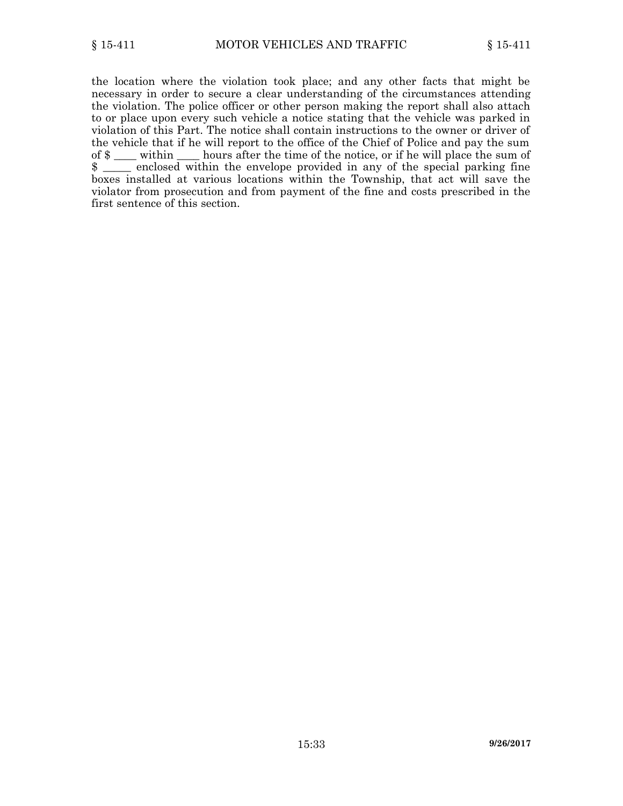the location where the violation took place; and any other facts that might be necessary in order to secure <sup>a</sup> clear understanding of the circumstances attending the violation. The police officer or other person making the report shall also attach to or place upon every such vehicle <sup>a</sup> notice stating that the vehicle was parked in violation of this Part. The notice shall contain instructions to the owner or driver of the vehicle that if he will report to the office of the Chief of Police and pay the sum of \$ \_\_\_\_ within \_\_\_\_ hours after the time of the notice, or if he will place the sum of \$ \_\_\_\_\_ enclosed within the envelope provided in any of the special parking fine boxes installed at various locations within the Township, that act will save the violator from prosecution and from payment of the fine and costs prescribed in the first sentence of this section.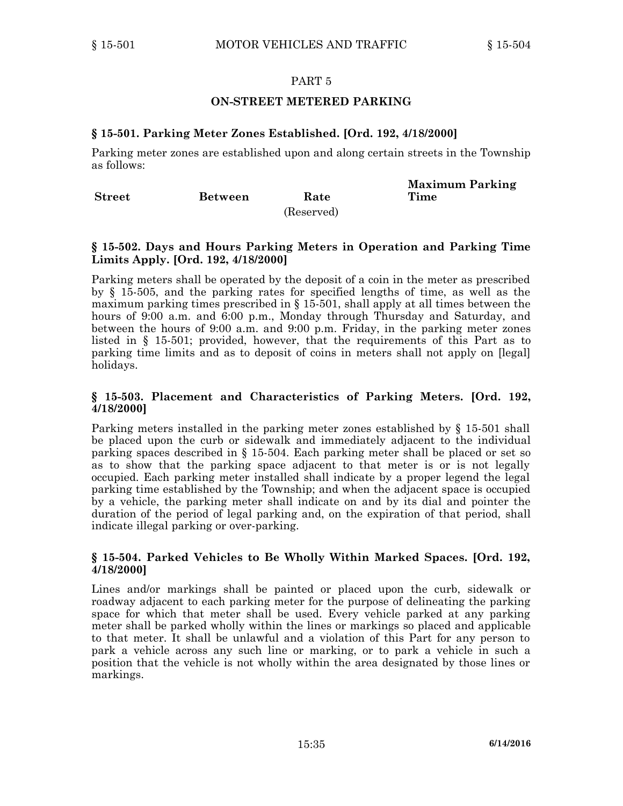### **ON-STREET METERED PARKING**

### **§ 15-501. Parking Meter Zones Established. [Ord. 192, 4/18/2000]**

Parking meter zones are established upon and along certain streets in the Township as follows:

| <b>Street</b> | Between | Rate       | <b>Maximum Parking</b><br>Time |
|---------------|---------|------------|--------------------------------|
|               |         | (Reserved) |                                |

### **§ 15-502. Days and Hours Parking Meters in Operation and Parking Time Limits Apply. [Ord. 192, 4/18/2000]**

Parking meters shall be operated by the deposit of <sup>a</sup> coin in the meter as prescribed by § 15-505, and the parking rates for specified lengths of time, as well as the maximum parking times prescribed in  $\S$  15-501, shall apply at all times between the hours of 9:00 a.m. and 6:00 p.m., Monday through Thursday and Saturday, and between the hours of 9:00 a.m. and 9:00 p.m. Friday, in the parking meter zones listed in § 15-501; provided, however, that the requirements of this Part as to parking time limits and as to deposit of coins in meters shall not apply on [legal] holidays.

### **§ 15-503. Placement and Characteristics of Parking Meters. [Ord. 192, 4/18/2000]**

Parking meters installed in the parking meter zones established by § 15-501 shall be placed upon the curb or sidewalk and immediately adjacent to the individual parking spaces described in § 15-504. Each parking meter shall be placed or set so as to show that the parking space adjacent to that meter is or is not legally occupied. Each parking meter installed shall indicate by <sup>a</sup> proper legend the legal parking time established by the Township; and when the adjacent space is occupied by <sup>a</sup> vehicle, the parking meter shall indicate on and by its dial and pointer the duration of the period of legal parking and, on the expiration of that period, shall indicate illegal parking or over-parking.

#### **§ 15-504. Parked Vehicles to Be Wholly Within Marked Spaces. [Ord. 192, 4/18/2000]**

Lines and/or markings shall be painted or placed upon the curb, sidewalk or roadway adjacent to each parking meter for the purpose of delineating the parking space for which that meter shall be used. Every vehicle parked at any parking meter shall be parked wholly within the lines or markings so placed and applicable to that meter. It shall be unlawful and <sup>a</sup> violation of this Part for any person to park <sup>a</sup> vehicle across any such line or marking, or to park <sup>a</sup> vehicle in such <sup>a</sup> position that the vehicle is not wholly within the area designated by those lines or markings.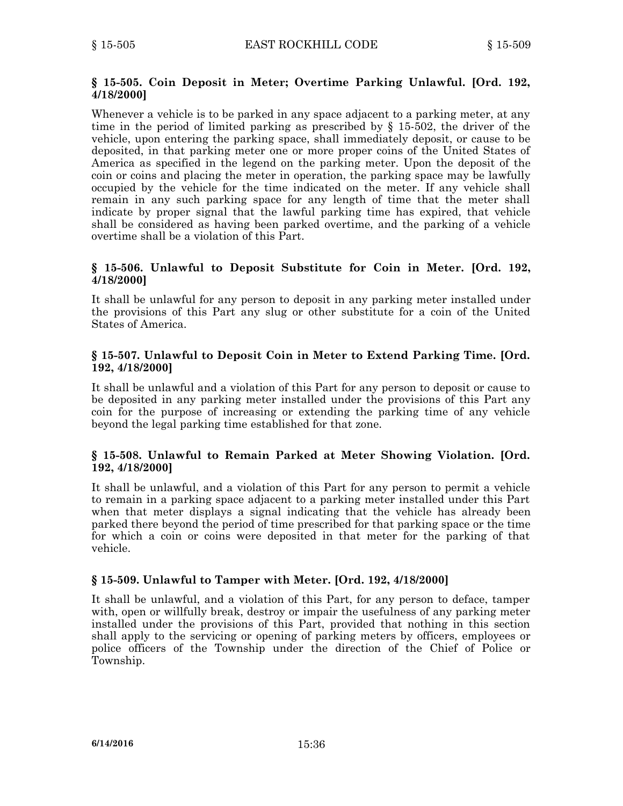### **§ 15-505. Coin Deposit in Meter; Overtime Parking Unlawful. [Ord. 192, 4/18/2000]**

Whenever <sup>a</sup> vehicle is to be parked in any space adjacent to <sup>a</sup> parking meter, at any time in the period of limited parking as prescribed by § 15-502, the driver of the vehicle, upon entering the parking space, shall immediately deposit, or cause to be deposited, in that parking meter one or more proper coins of the United States of America as specified in the legend on the parking meter. Upon the deposit of the coin or coins and placing the meter in operation, the parking space may be lawfully occupied by the vehicle for the time indicated on the meter. If any vehicle shall remain in any such parking space for any length of time that the meter shall indicate by proper signal that the lawful parking time has expired, that vehicle shall be considered as having been parked overtime, and the parking of <sup>a</sup> vehicle overtime shall be <sup>a</sup> violation of this Part.

### **§ 15-506. Unlawful to Deposit Substitute for Coin in Meter. [Ord. 192, 4/18/2000]**

It shall be unlawful for any person to deposit in any parking meter installed under the provisions of this Part any slug or other substitute for <sup>a</sup> coin of the United States of America.

### **§ 15-507. Unlawful to Deposit Coin in Meter to Extend Parking Time. [Ord. 192, 4/18/2000]**

It shall be unlawful and <sup>a</sup> violation of this Part for any person to deposit or cause to be deposited in any parking meter installed under the provisions of this Part any coin for the purpose of increasing or extending the parking time of any vehicle beyond the legal parking time established for that zone.

### **§ 15-508. Unlawful to Remain Parked at Meter Showing Violation. [Ord. 192, 4/18/2000]**

It shall be unlawful, and <sup>a</sup> violation of this Part for any person to permit <sup>a</sup> vehicle to remain in <sup>a</sup> parking space adjacent to <sup>a</sup> parking meter installed under this Part when that meter displays <sup>a</sup> signal indicating that the vehicle has already been parked there beyond the period of time prescribed for that parking space or the time for which <sup>a</sup> coin or coins were deposited in that meter for the parking of that vehicle.

### **§ 15-509. Unlawful to Tamper with Meter. [Ord. 192, 4/18/2000]**

It shall be unlawful, and <sup>a</sup> violation of this Part, for any person to deface, tamper with, open or willfully break, destroy or impair the usefulness of any parking meter installed under the provisions of this Part, provided that nothing in this section shall apply to the servicing or opening of parking meters by officers, employees or police officers of the Township under the direction of the Chief of Police or Township.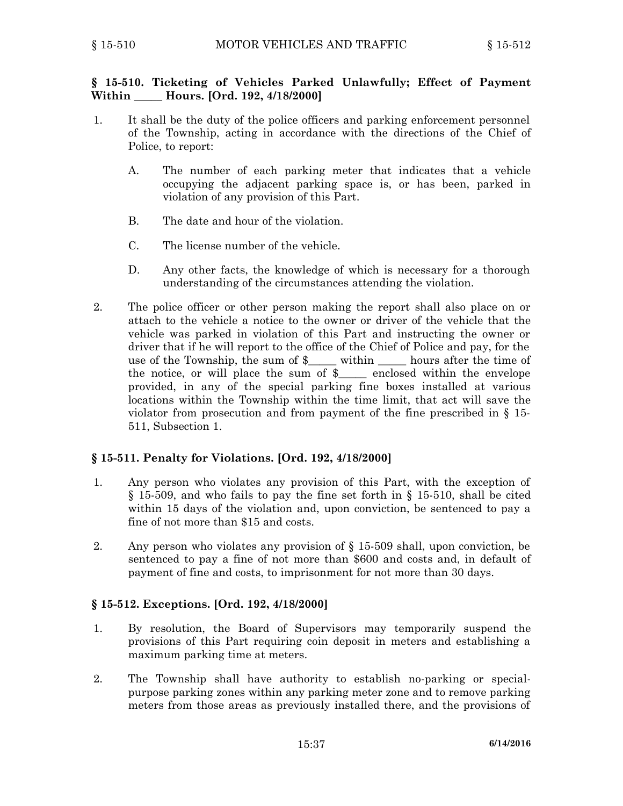### **§ 15-510. Ticketing of Vehicles Parked Unlawfully; Effect of Payment Within \_\_\_\_\_ Hours. [Ord. 192, 4/18/2000]**

- 1. It shall be the duty of the police officers and parking enforcement personnel of the Township, acting in accordance with the directions of the Chief of Police, to report:
	- A. The number of each parking meter that indicates that <sup>a</sup> vehicle occupying the adjacent parking space is, or has been, parked in violation of any provision of this Part.
	- B. The date and hour of the violation.
	- C. The license number of the vehicle.
	- D. Any other facts, the knowledge of which is necessary for <sup>a</sup> thorough understanding of the circumstances attending the violation.
- 2. The police officer or other person making the report shall also place on or attach to the vehicle <sup>a</sup> notice to the owner or driver of the vehicle that the vehicle was parked in violation of this Part and instructing the owner or driver that if he will report to the office of the Chief of Police and pay, for the use of the Township, the sum of \$\_\_\_\_\_ within \_\_\_\_\_ hours after the time of the notice, or will place the sum of \$\_\_\_\_\_ enclosed within the envelope provided, in any of the special parking fine boxes installed at various locations within the Township within the time limit, that act will save the violator from prosecution and from payment of the fine prescribed in § 15- 511, Subsection 1.

### **§ 15-511. Penalty for Violations. [Ord. 192, 4/18/2000]**

- 1. Any person who violates any provision of this Part, with the exception of § 15-509, and who fails to pay the fine set forth in § 15-510, shall be cited within 15 days of the violation and, upon conviction, be sentenced to pay <sup>a</sup> fine of not more than \$15 and costs.
- 2. Any person who violates any provision of § 15-509 shall, upon conviction, be sentenced to pay <sup>a</sup> fine of not more than \$600 and costs and, in default of payment of fine and costs, to imprisonment for not more than 30 days.

#### **§ 15-512. Exceptions. [Ord. 192, 4/18/2000]**

- 1. By resolution, the Board of Supervisors may temporarily suspend the provisions of this Part requiring coin deposit in meters and establishing <sup>a</sup> maximum parking time at meters.
- 2. The Township shall have authority to establish no-parking or specialpurpose parking zones within any parking meter zone and to remove parking meters from those areas as previously installed there, and the provisions of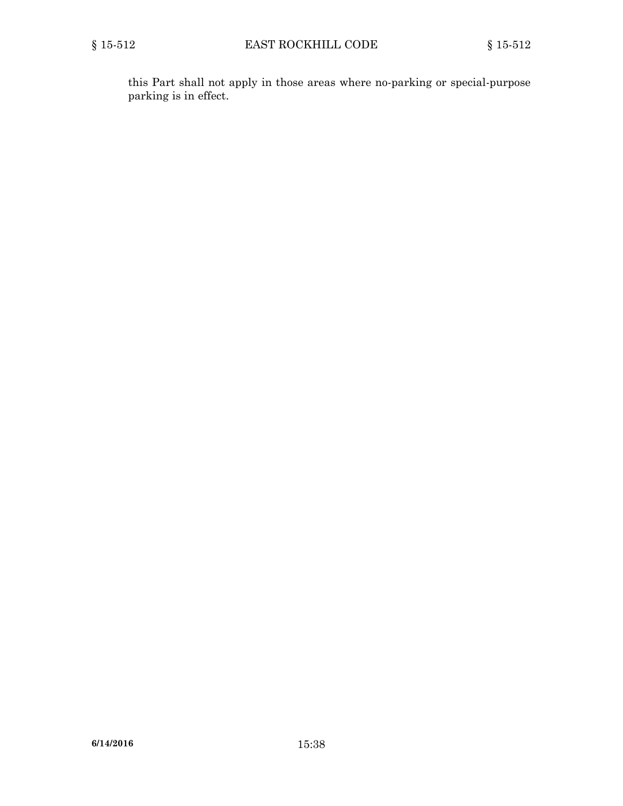this Part shall not apply in those areas where no-parking or special-purpose parking is in effect.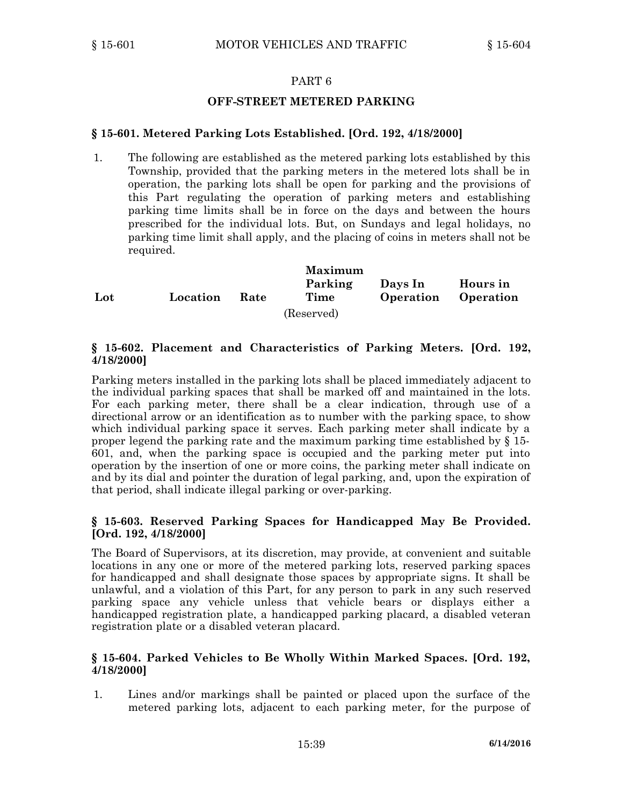### **OFF-STREET METERED PARKING**

### **§ 15-601. Metered Parking Lots Established. [Ord. 192, 4/18/2000]**

1. The following are established as the metered parking lots established by this Township, provided that the parking meters in the metered lots shall be in operation, the parking lots shall be open for parking and the provisions of this Part regulating the operation of parking meters and establishing parking time limits shall be in force on the days and between the hours prescribed for the individual lots. But, on Sundays and legal holidays, no parking time limit shall apply, and the placing of coins in meters shall not be required.

|     |          |             | <b>Maximum</b> |           |           |
|-----|----------|-------------|----------------|-----------|-----------|
|     |          |             | Parking        | Days In   | Hours in  |
| Lot | Location | <b>Rate</b> | Time           | Operation | Operation |
|     |          |             | (Reserved)     |           |           |

### **§ 15-602. Placement and Characteristics of Parking Meters. [Ord. 192, 4/18/2000]**

Parking meters installed in the parking lots shall be placed immediately adjacent to the individual parking spaces that shall be marked off and maintained in the lots. For each parking meter, there shall be <sup>a</sup> clear indication, through use of <sup>a</sup> directional arrow or an identification as to number with the parking space, to show which individual parking space it serves. Each parking meter shall indicate by <sup>a</sup> proper legend the parking rate and the maximum parking time established by § 15- 601, and, when the parking space is occupied and the parking meter put into operation by the insertion of one or more coins, the parking meter shall indicate on and by its dial and pointer the duration of legal parking, and, upon the expiration of that period, shall indicate illegal parking or over-parking.

#### **§ 15-603. Reserved Parking Spaces for Handicapped May Be Provided. [Ord. 192, 4/18/2000]**

The Board of Supervisors, at its discretion, may provide, at convenient and suitable locations in any one or more of the metered parking lots, reserved parking spaces for handicapped and shall designate those spaces by appropriate signs. It shall be unlawful, and <sup>a</sup> violation of this Part, for any person to park in any such reserved parking space any vehicle unless that vehicle bears or displays either <sup>a</sup> handicapped registration plate, <sup>a</sup> handicapped parking placard, <sup>a</sup> disabled veteran registration plate or <sup>a</sup> disabled veteran placard.

### **§ 15-604. Parked Vehicles to Be Wholly Within Marked Spaces. [Ord. 192, 4/18/2000]**

1. Lines and/or markings shall be painted or placed upon the surface of the metered parking lots, adjacent to each parking meter, for the purpose of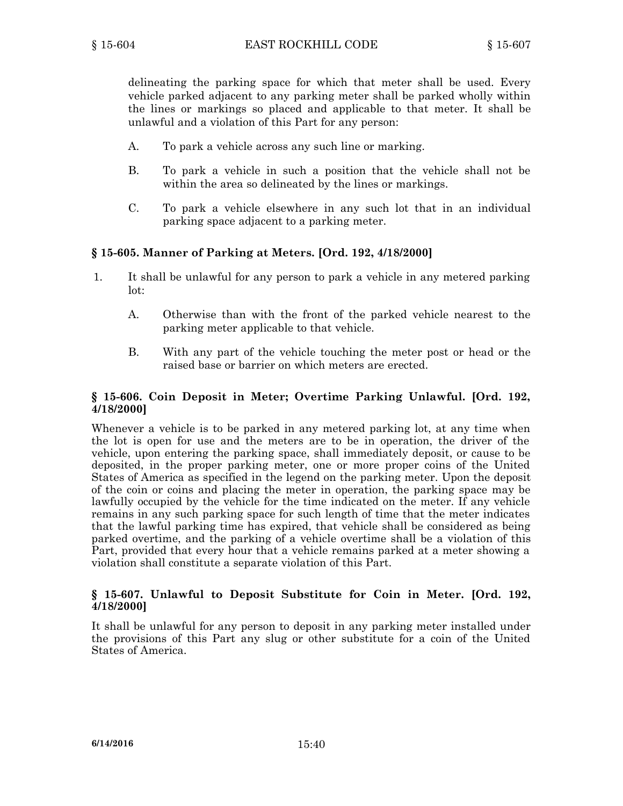delineating the parking space for which that meter shall be used. Every vehicle parked adjacent to any parking meter shall be parked wholly within the lines or markings so placed and applicable to that meter. It shall be unlawful and <sup>a</sup> violation of this Part for any person:

- A. To park <sup>a</sup> vehicle across any such line or marking.
- B. To park <sup>a</sup> vehicle in such <sup>a</sup> position that the vehicle shall not be within the area so delineated by the lines or markings.
- C. To park <sup>a</sup> vehicle elsewhere in any such lot that in an individual parking space adjacent to <sup>a</sup> parking meter.

## **§ 15-605. Manner of Parking at Meters. [Ord. 192, 4/18/2000]**

- 1. It shall be unlawful for any person to park <sup>a</sup> vehicle in any metered parking lot:
	- A. Otherwise than with the front of the parked vehicle nearest to the parking meter applicable to that vehicle.
	- B. With any part of the vehicle touching the meter post or head or the raised base or barrier on which meters are erected.

### **§ 15-606. Coin Deposit in Meter; Overtime Parking Unlawful. [Ord. 192, 4/18/2000]**

Whenever <sup>a</sup> vehicle is to be parked in any metered parking lot, at any time when the lot is open for use and the meters are to be in operation, the driver of the vehicle, upon entering the parking space, shall immediately deposit, or cause to be deposited, in the proper parking meter, one or more proper coins of the United States of America as specified in the legend on the parking meter. Upon the deposit of the coin or coins and placing the meter in operation, the parking space may be lawfully occupied by the vehicle for the time indicated on the meter. If any vehicle remains in any such parking space for such length of time that the meter indicates that the lawful parking time has expired, that vehicle shall be considered as being parked overtime, and the parking of <sup>a</sup> vehicle overtime shall be <sup>a</sup> violation of this Part, provided that every hour that <sup>a</sup> vehicle remains parked at <sup>a</sup> meter showing <sup>a</sup> violation shall constitute <sup>a</sup> separate violation of this Part.

### **§ 15-607. Unlawful to Deposit Substitute for Coin in Meter. [Ord. 192, 4/18/2000]**

It shall be unlawful for any person to deposit in any parking meter installed under the provisions of this Part any slug or other substitute for <sup>a</sup> coin of the United States of America.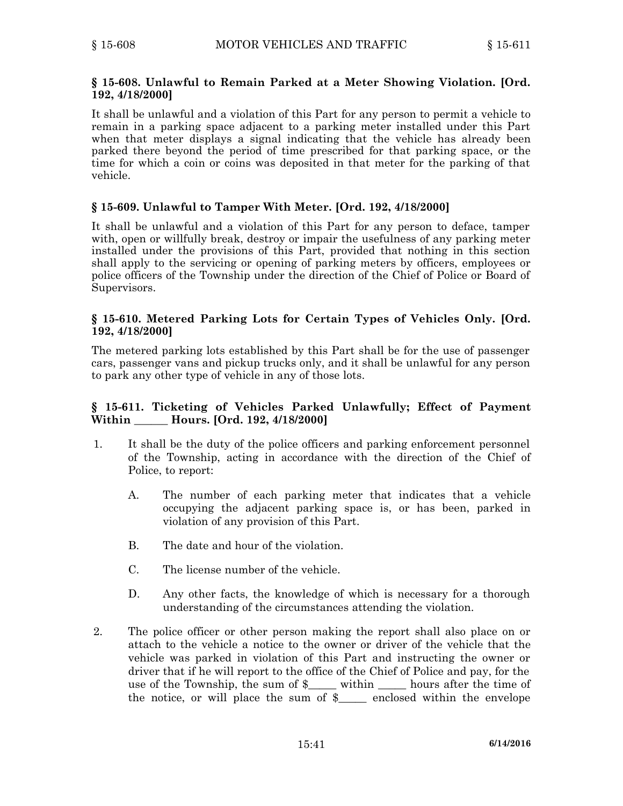### **§ 15-608. Unlawful to Remain Parked at <sup>a</sup> Meter Showing Violation. [Ord. 192, 4/18/2000]**

It shall be unlawful and <sup>a</sup> violation of this Part for any person to permit <sup>a</sup> vehicle to remain in <sup>a</sup> parking space adjacent to <sup>a</sup> parking meter installed under this Part when that meter displays <sup>a</sup> signal indicating that the vehicle has already been parked there beyond the period of time prescribed for that parking space, or the time for which <sup>a</sup> coin or coins was deposited in that meter for the parking of that vehicle.

### **§ 15-609. Unlawful to Tamper With Meter. [Ord. 192, 4/18/2000]**

It shall be unlawful and <sup>a</sup> violation of this Part for any person to deface, tamper with, open or willfully break, destroy or impair the usefulness of any parking meter installed under the provisions of this Part, provided that nothing in this section shall apply to the servicing or opening of parking meters by officers, employees or police officers of the Township under the direction of the Chief of Police or Board of Supervisors.

### **§ 15-610. Metered Parking Lots for Certain Types of Vehicles Only. [Ord. 192, 4/18/2000]**

The metered parking lots established by this Part shall be for the use of passenger cars, passenger vans and pickup trucks only, and it shall be unlawful for any person to park any other type of vehicle in any of those lots.

### **§ 15-611. Ticketing of Vehicles Parked Unlawfully; Effect of Payment Within \_\_\_\_\_\_ Hours. [Ord. 192, 4/18/2000]**

- 1. It shall be the duty of the police officers and parking enforcement personnel of the Township, acting in accordance with the direction of the Chief of Police, to report:
	- A. The number of each parking meter that indicates that <sup>a</sup> vehicle occupying the adjacent parking space is, or has been, parked in violation of any provision of this Part.
	- B. The date and hour of the violation.
	- C. The license number of the vehicle.
	- D. Any other facts, the knowledge of which is necessary for <sup>a</sup> thorough understanding of the circumstances attending the violation.
- 2. The police officer or other person making the report shall also place on or attach to the vehicle <sup>a</sup> notice to the owner or driver of the vehicle that the vehicle was parked in violation of this Part and instructing the owner or driver that if he will report to the office of the Chief of Police and pay, for the use of the Township, the sum of  $\frac{1}{2}$  within hours after the time of the notice, or will place the sum of \$\_\_\_\_\_ enclosed within the envelope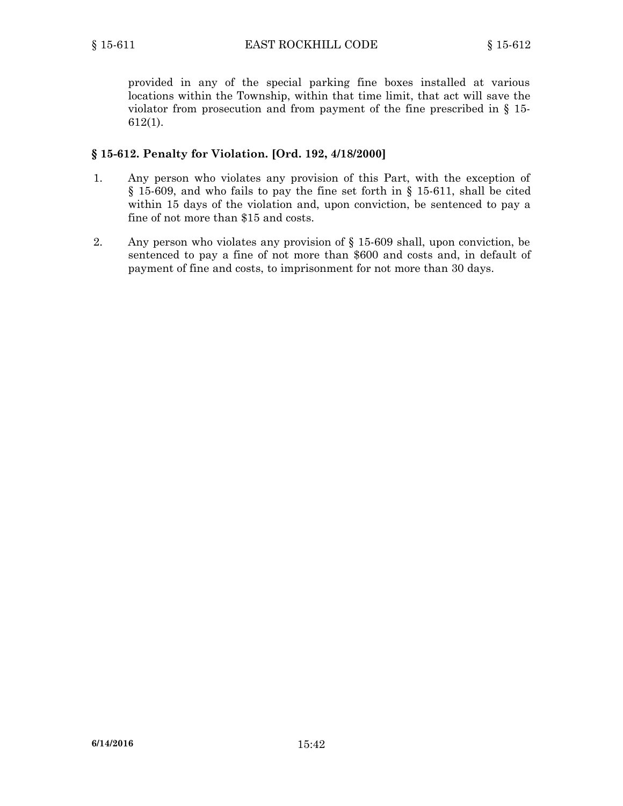provided in any of the special parking fine boxes installed at various locations within the Township, within that time limit, that act will save the violator from prosecution and from payment of the fine prescribed in § 15- 612(1).

### **§ 15-612. Penalty for Violation. [Ord. 192, 4/18/2000]**

- 1. Any person who violates any provision of this Part, with the exception of § 15-609, and who fails to pay the fine set forth in § 15-611, shall be cited within 15 days of the violation and, upon conviction, be sentenced to pay <sup>a</sup> fine of not more than \$15 and costs.
- 2. Any person who violates any provision of § 15-609 shall, upon conviction, be sentenced to pay <sup>a</sup> fine of not more than \$600 and costs and, in default of payment of fine and costs, to imprisonment for not more than 30 days.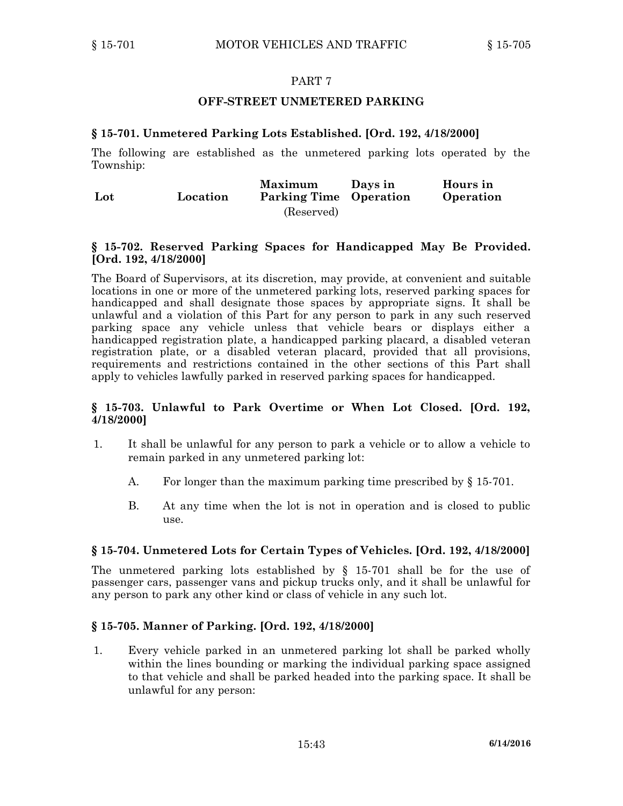### **OFF-STREET UNMETERED PARKING**

### **§ 15-701. Unmetered Parking Lots Established. [Ord. 192, 4/18/2000]**

The following are established as the unmetered parking lots operated by the Township:

| Lot | Location | <b>Maximum</b><br><b>Parking Time Operation</b> | Davs in | Hours in<br>Operation |
|-----|----------|-------------------------------------------------|---------|-----------------------|
|     |          | (Reserved)                                      |         |                       |

#### **§ 15-702. Reserved Parking Spaces for Handicapped May Be Provided. [Ord. 192, 4/18/2000]**

The Board of Supervisors, at its discretion, may provide, at convenient and suitable locations in one or more of the unmetered parking lots, reserved parking spaces for handicapped and shall designate those spaces by appropriate signs. It shall be unlawful and <sup>a</sup> violation of this Part for any person to park in any such reserved parking space any vehicle unless that vehicle bears or displays either <sup>a</sup> handicapped registration plate, <sup>a</sup> handicapped parking placard, <sup>a</sup> disabled veteran registration plate, or <sup>a</sup> disabled veteran placard, provided that all provisions, requirements and restrictions contained in the other sections of this Part shall apply to vehicles lawfully parked in reserved parking spaces for handicapped.

### **§ 15-703. Unlawful to Park Overtime or When Lot Closed. [Ord. 192, 4/18/2000]**

- 1. It shall be unlawful for any person to park <sup>a</sup> vehicle or to allow <sup>a</sup> vehicle to remain parked in any unmetered parking lot:
	- A. For longer than the maximum parking time prescribed by § 15-701.
	- B. At any time when the lot is not in operation and is closed to public use.

#### **§ 15-704. Unmetered Lots for Certain Types of Vehicles. [Ord. 192, 4/18/2000]**

The unmetered parking lots established by  $\S$  15-701 shall be for the use of passenger cars, passenger vans and pickup trucks only, and it shall be unlawful for any person to park any other kind or class of vehicle in any such lot.

#### **§ 15-705. Manner of Parking. [Ord. 192, 4/18/2000]**

1. Every vehicle parked in an unmetered parking lot shall be parked wholly within the lines bounding or marking the individual parking space assigned to that vehicle and shall be parked headed into the parking space. It shall be unlawful for any person: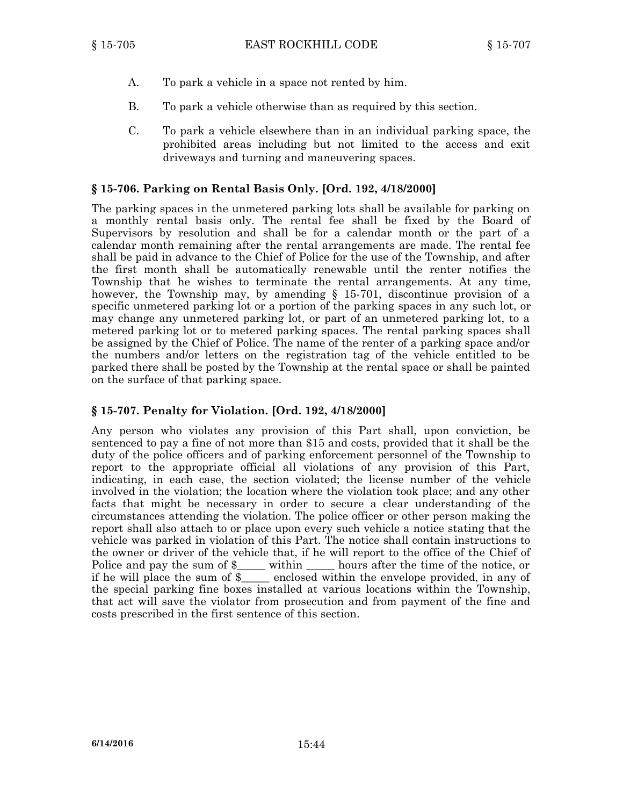- A. To park <sup>a</sup> vehicle in <sup>a</sup> space not rented by him.
- B. To park <sup>a</sup> vehicle otherwise than as required by this section.
- C. To park <sup>a</sup> vehicle elsewhere than in an individual parking space, the prohibited areas including but not limited to the access and exit driveways and turning and maneuvering spaces.

### **§ 15-706. Parking on Rental Basis Only. [Ord. 192, 4/18/2000]**

The parking spaces in the unmetered parking lots shall be available for parking on <sup>a</sup> monthly rental basis only. The rental fee shall be fixed by the Board of Supervisors by resolution and shall be for <sup>a</sup> calendar month or the part of <sup>a</sup> calendar month remaining after the rental arrangements are made. The rental fee shall be paid in advance to the Chief of Police for the use of the Township, and after the first month shall be automatically renewable until the renter notifies the Township that he wishes to terminate the rental arrangements. At any time, however, the Township may, by amending § 15-701, discontinue provision of <sup>a</sup> specific unmetered parking lot or <sup>a</sup> portion of the parking spaces in any such lot, or may change any unmetered parking lot, or part of an unmetered parking lot, to <sup>a</sup> metered parking lot or to metered parking spaces. The rental parking spaces shall be assigned by the Chief of Police. The name of the renter of <sup>a</sup> parking space and/or the numbers and/or letters on the registration tag of the vehicle entitled to be parked there shall be posted by the Township at the rental space or shall be painted on the surface of that parking space.

### **§ 15-707. Penalty for Violation. [Ord. 192, 4/18/2000]**

Any person who violates any provision of this Part shall, upon conviction, be sentenced to pay <sup>a</sup> fine of not more than \$15 and costs, provided that it shall be the duty of the police officers and of parking enforcement personnel of the Township to report to the appropriate official all violations of any provision of this Part, indicating, in each case, the section violated; the license number of the vehicle involved in the violation; the location where the violation took place; and any other facts that might be necessary in order to secure <sup>a</sup> clear understanding of the circumstances attending the violation. The police officer or other person making the report shall also attach to or place upon every such vehicle <sup>a</sup> notice stating that the vehicle was parked in violation of this Part. The notice shall contain instructions to the owner or driver of the vehicle that, if he will report to the office of the Chief of Police and pay the sum of \$\_\_\_\_\_ within \_\_\_\_\_\_ hours after the time of the notice, or if he will place the sum of \$\_\_\_\_\_ enclosed within the envelope provided, in any of the special parking fine boxes installed at various locations within the Township, that act will save the violator from prosecution and from payment of the fine and costs prescribed in the first sentence of this section.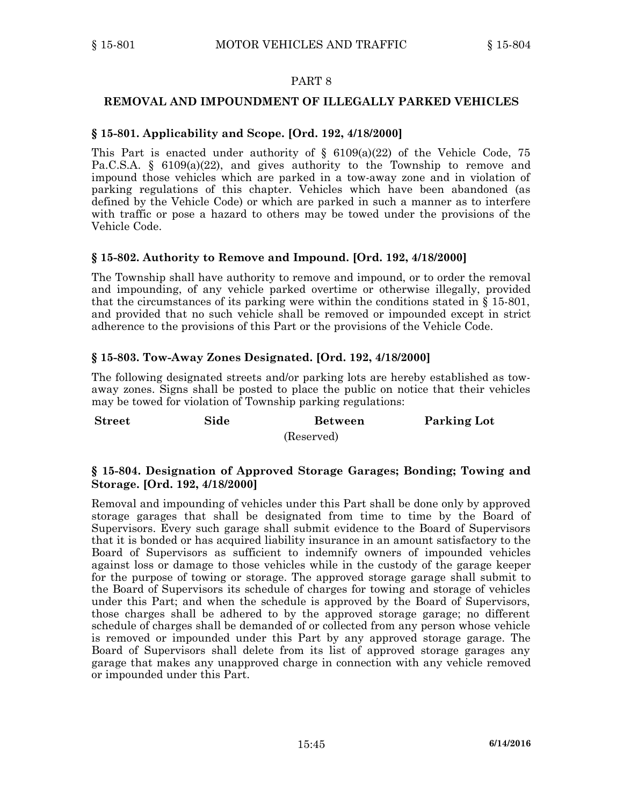### **REMOVAL AND IMPOUNDMENT OF ILLEGALLY PARKED VEHICLES**

### **§ 15-801. Applicability and Scope. [Ord. 192, 4/18/2000]**

This Part is enacted under authority of  $\S$  6109(a)(22) of the Vehicle Code, 75 Pa.C.S.A.  $\S$  6109(a)(22), and gives authority to the Township to remove and impound those vehicles which are parked in <sup>a</sup> tow-away zone and in violation of parking regulations of this chapter. Vehicles which have been abandoned (as defined by the Vehicle Code) or which are parked in such <sup>a</sup> manner as to interfere with traffic or pose <sup>a</sup> hazard to others may be towed under the provisions of the Vehicle Code.

### **§ 15-802. Authority to Remove and Impound. [Ord. 192, 4/18/2000]**

The Township shall have authority to remove and impound, or to order the removal and impounding, of any vehicle parked overtime or otherwise illegally, provided that the circumstances of its parking were within the conditions stated in  $\S$  15-801, and provided that no such vehicle shall be removed or impounded except in strict adherence to the provisions of this Part or the provisions of the Vehicle Code.

### **§ 15-803. Tow-Away Zones Designated. [Ord. 192, 4/18/2000]**

**Storage. [Ord. 192, 4/18/2000]**

The following designated streets and/or parking lots are hereby established as towaway zones. Signs shall be posted to place the public on notice that their vehicles may be towed for violation of Township parking regulations:

| <b>Street</b> | Side | Between    | <b>Parking Lot</b> |
|---------------|------|------------|--------------------|
|               |      | (Reserved) |                    |

# **§ 15-804. Designation of Approved Storage Garages; Bonding; Towing and**

Removal and impounding of vehicles under this Part shall be done only by approved storage garages that shall be designated from time to time by the Board of Supervisors. Every such garage shall submit evidence to the Board of Supervisors that it is bonded or has acquired liability insurance in an amount satisfactory to the Board of Supervisors as sufficient to indemnify owners of impounded vehicles against loss or damage to those vehicles while in the custody of the garage keeper for the purpose of towing or storage. The approved storage garage shall submit to the Board of Supervisors its schedule of charges for towing and storage of vehicles under this Part; and when the schedule is approved by the Board of Supervisors, those charges shall be adhered to by the approved storage garage; no different schedule of charges shall be demanded of or collected from any person whose vehicle is removed or impounded under this Part by any approved storage garage. The Board of Supervisors shall delete from its list of approved storage garages any garage that makes any unapproved charge in connection with any vehicle removed or impounded under this Part.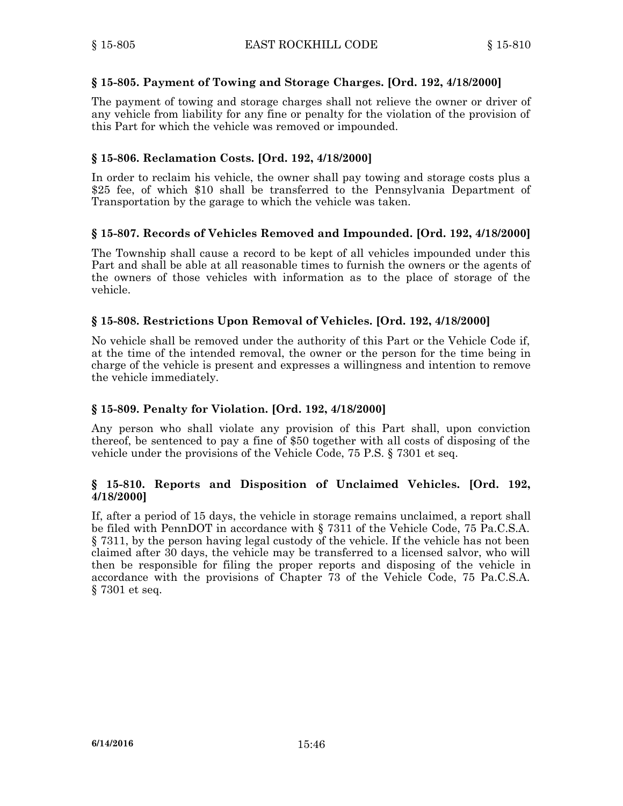### **§ 15-805. Payment of Towing and Storage Charges. [Ord. 192, 4/18/2000]**

The payment of towing and storage charges shall not relieve the owner or driver of any vehicle from liability for any fine or penalty for the violation of the provision of this Part for which the vehicle was removed or impounded.

### **§ 15-806. Reclamation Costs. [Ord. 192, 4/18/2000]**

In order to reclaim his vehicle, the owner shall pay towing and storage costs plus <sup>a</sup> \$25 fee, of which \$10 shall be transferred to the Pennsylvania Department of Transportation by the garage to which the vehicle was taken.

### **§ 15-807. Records of Vehicles Removed and Impounded. [Ord. 192, 4/18/2000]**

The Township shall cause <sup>a</sup> record to be kept of all vehicles impounded under this Part and shall be able at all reasonable times to furnish the owners or the agents of the owners of those vehicles with information as to the place of storage of the vehicle.

### **§ 15-808. Restrictions Upon Removal of Vehicles. [Ord. 192, 4/18/2000]**

No vehicle shall be removed under the authority of this Part or the Vehicle Code if, at the time of the intended removal, the owner or the person for the time being in charge of the vehicle is present and expresses <sup>a</sup> willingness and intention to remove the vehicle immediately.

### **§ 15-809. Penalty for Violation. [Ord. 192, 4/18/2000]**

Any person who shall violate any provision of this Part shall, upon conviction thereof, be sentenced to pay <sup>a</sup> fine of \$50 together with all costs of disposing of the vehicle under the provisions of the Vehicle Code, 75 P.S. § 7301 et seq.

### **§ 15-810. Reports and Disposition of Unclaimed Vehicles. [Ord. 192, 4/18/2000]**

If, after <sup>a</sup> period of 15 days, the vehicle in storage remains unclaimed, <sup>a</sup> report shall be filed with PennDOT in accordance with § 7311 of the Vehicle Code, 75 Pa.C.S.A. § 7311, by the person having legal custody of the vehicle. If the vehicle has not been claimed after 30 days, the vehicle may be transferred to <sup>a</sup> licensed salvor, who will then be responsible for filing the proper reports and disposing of the vehicle in accordance with the provisions of Chapter 73 of the Vehicle Code, 75 Pa.C.S.A. § 7301 et seq.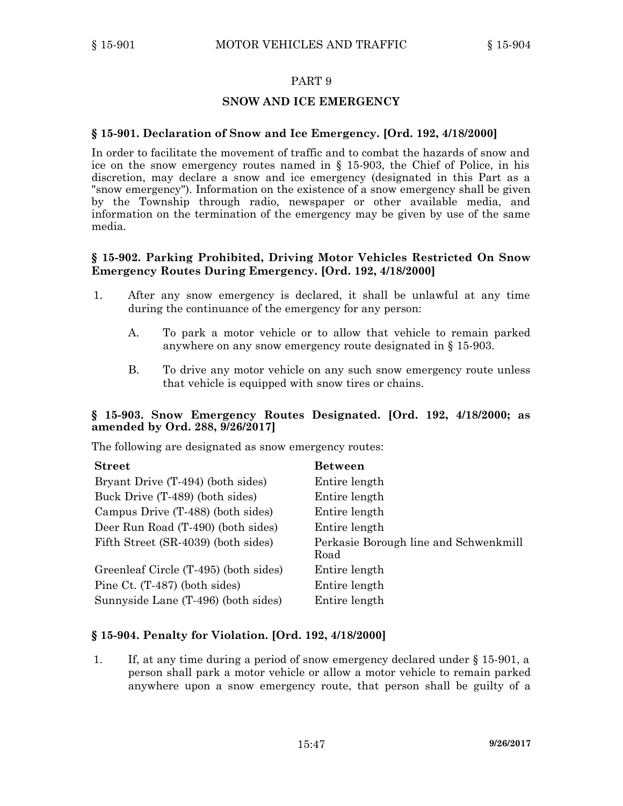### **SNOW AND ICE EMERGENCY**

### **§ 15-901. Declaration of Snow and Ice Emergency. [Ord. 192, 4/18/2000]**

In order to facilitate the movement of traffic and to combat the hazards of snow and ice on the snow emergency routes named in § 15-903, the Chief of Police, in his discretion, may declare <sup>a</sup> snow and ice emergency (designated in this Part as <sup>a</sup> "snow emergency"). Information on the existence of <sup>a</sup> snow emergency shall be given by the Township through radio, newspaper or other available media, and information on the termination of the emergency may be given by use of the same media.

### **§ 15-902. Parking Prohibited, Driving Motor Vehicles Restricted On Snow Emergency Routes During Emergency. [Ord. 192, 4/18/2000]**

- 1. After any snow emergency is declared, it shall be unlawful at any time during the continuance of the emergency for any person:
	- A. To park <sup>a</sup> motor vehicle or to allow that vehicle to remain parked anywhere on any snow emergency route designated in § 15-903.
	- B. To drive any motor vehicle on any such snow emergency route unless that vehicle is equipped with snow tires or chains.

### **§ 15-903. Snow Emergency Routes Designated. [Ord. 192, 4/18/2000; as amended by Ord. 288, 9/26/2017]**

The following are designated as snow emergency routes:

| <b>Street</b>                         | <b>Between</b>                                |
|---------------------------------------|-----------------------------------------------|
| Bryant Drive (T-494) (both sides)     | Entire length                                 |
| Buck Drive (T-489) (both sides)       | Entire length                                 |
| Campus Drive (T-488) (both sides)     | Entire length                                 |
| Deer Run Road (T-490) (both sides)    | Entire length                                 |
| Fifth Street (SR-4039) (both sides)   | Perkasie Borough line and Schwenkmill<br>Road |
| Greenleaf Circle (T-495) (both sides) | Entire length                                 |
| Pine Ct. (T-487) (both sides)         | Entire length                                 |
| Sunnyside Lane (T-496) (both sides)   | Entire length                                 |

### **§ 15-904. Penalty for Violation. [Ord. 192, 4/18/2000]**

1. If, at any time during <sup>a</sup> period of snow emergency declared under § 15-901, <sup>a</sup> person shall park <sup>a</sup> motor vehicle or allow <sup>a</sup> motor vehicle to remain parked anywhere upon <sup>a</sup> snow emergency route, that person shall be guilty of <sup>a</sup>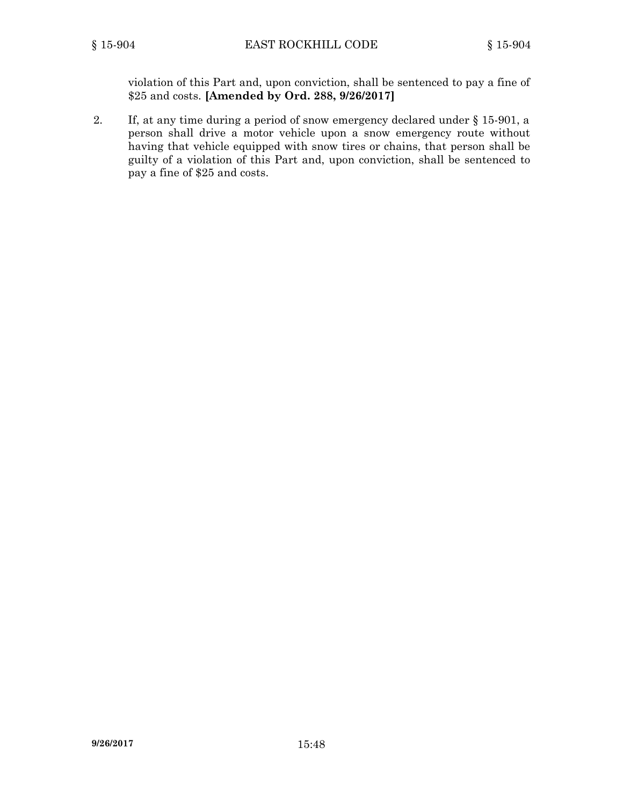violation of this Part and, upon conviction, shall be sentenced to pay <sup>a</sup> fine of \$25 and costs. **[Amended by Ord. 288, 9/26/2017]**

2. If, at any time during <sup>a</sup> period of snow emergency declared under § 15-901, <sup>a</sup> person shall drive <sup>a</sup> motor vehicle upon <sup>a</sup> snow emergency route without having that vehicle equipped with snow tires or chains, that person shall be guilty of <sup>a</sup> violation of this Part and, upon conviction, shall be sentenced to pay <sup>a</sup> fine of \$25 and costs.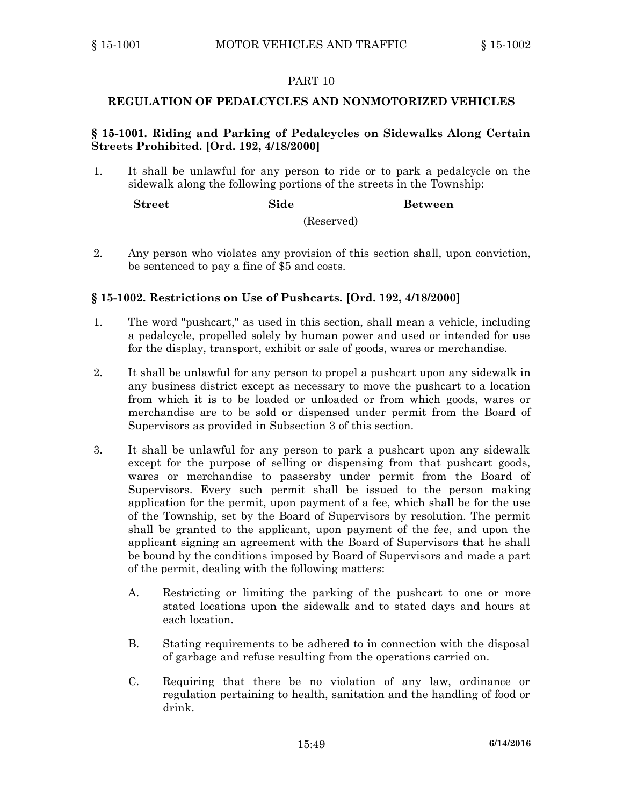### **REGULATION OF PEDALCYCLES AND NONMOTORIZED VEHICLES**

### **§ 15-1001. Riding and Parking of Pedalcycles on Sidewalks Along Certain Streets Prohibited. [Ord. 192, 4/18/2000]**

1. It shall be unlawful for any person to ride or to park <sup>a</sup> pedalcycle on the sidewalk along the following portions of the streets in the Township:

| ${\bf Street}$ | Side |            | <b>Between</b> |
|----------------|------|------------|----------------|
|                |      | (Reserved) |                |

2. Any person who violates any provision of this section shall, upon conviction, be sentenced to pay <sup>a</sup> fine of \$5 and costs.

### **§ 15-1002. Restrictions on Use of Pushcarts. [Ord. 192, 4/18/2000]**

- 1. The word "pushcart," as used in this section, shall mean <sup>a</sup> vehicle, including <sup>a</sup> pedalcycle, propelled solely by human power and used or intended for use for the display, transport, exhibit or sale of goods, wares or merchandise.
- 2. It shall be unlawful for any person to propel <sup>a</sup> pushcart upon any sidewalk in any business district except as necessary to move the pushcart to <sup>a</sup> location from which it is to be loaded or unloaded or from which goods, wares or merchandise are to be sold or dispensed under permit from the Board of Supervisors as provided in Subsection 3 of this section.
- 3. It shall be unlawful for any person to park <sup>a</sup> pushcart upon any sidewalk except for the purpose of selling or dispensing from that pushcart goods, wares or merchandise to passersby under permit from the Board of Supervisors. Every such permit shall be issued to the person making application for the permit, upon payment of <sup>a</sup> fee, which shall be for the use of the Township, set by the Board of Supervisors by resolution. The permit shall be granted to the applicant, upon payment of the fee, and upon the applicant signing an agreement with the Board of Supervisors that he shall be bound by the conditions imposed by Board of Supervisors and made <sup>a</sup> part of the permit, dealing with the following matters:
	- A. Restricting or limiting the parking of the pushcart to one or more stated locations upon the sidewalk and to stated days and hours at each location.
	- B. Stating requirements to be adhered to in connection with the disposal of garbage and refuse resulting from the operations carried on.
	- C. Requiring that there be no violation of any law, ordinance or regulation pertaining to health, sanitation and the handling of food or drink.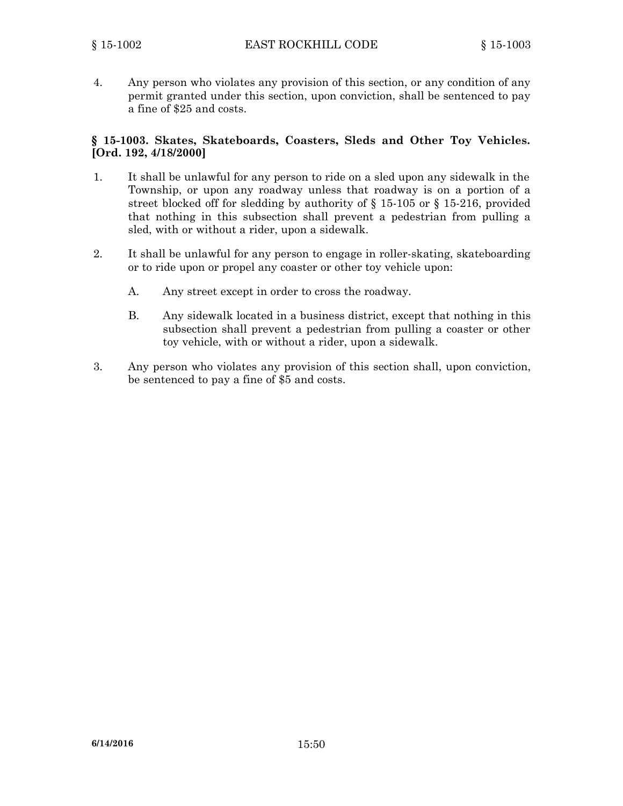4. Any person who violates any provision of this section, or any condition of any permit granted under this section, upon conviction, shall be sentenced to pay <sup>a</sup> fine of \$25 and costs.

### **§ 15-1003. Skates, Skateboards, Coasters, Sleds and Other Toy Vehicles. [Ord. 192, 4/18/2000]**

- 1. It shall be unlawful for any person to ride on <sup>a</sup> sled upon any sidewalk in the Township, or upon any roadway unless that roadway is on <sup>a</sup> portion of <sup>a</sup> street blocked off for sledding by authority of § 15-105 or § 15-216, provided that nothing in this subsection shall prevent <sup>a</sup> pedestrian from pulling <sup>a</sup> sled, with or without <sup>a</sup> rider, upon <sup>a</sup> sidewalk.
- 2. It shall be unlawful for any person to engage in roller-skating, skateboarding or to ride upon or propel any coaster or other toy vehicle upon:
	- A. Any street except in order to cross the roadway.
	- B. Any sidewalk located in <sup>a</sup> business district, except that nothing in this subsection shall prevent <sup>a</sup> pedestrian from pulling <sup>a</sup> coaster or other toy vehicle, with or without <sup>a</sup> rider, upon <sup>a</sup> sidewalk.
- 3. Any person who violates any provision of this section shall, upon conviction, be sentenced to pay <sup>a</sup> fine of \$5 and costs.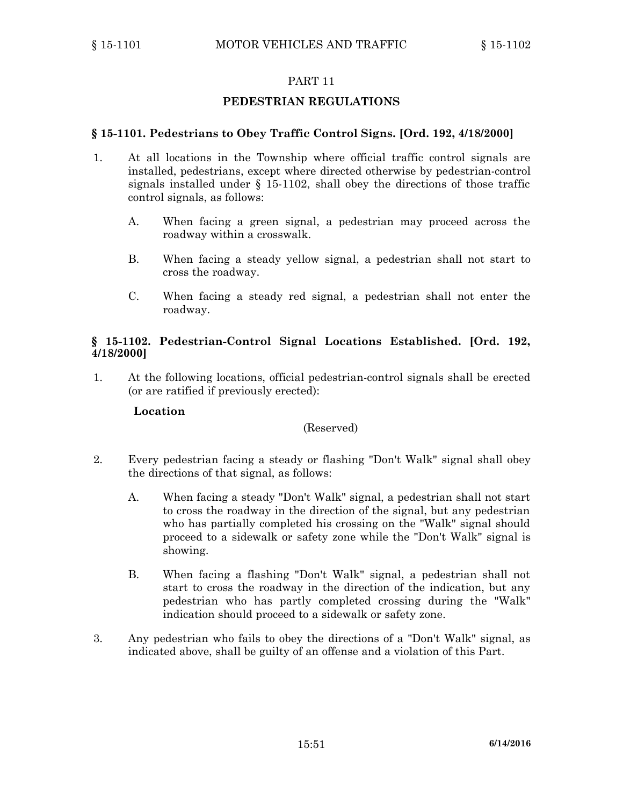### **PEDESTRIAN REGULATIONS**

#### **§ 15-1101. Pedestrians to Obey Traffic Control Signs. [Ord. 192, 4/18/2000]**

- 1. At all locations in the Township where official traffic control signals are installed, pedestrians, except where directed otherwise by pedestrian-control signals installed under § 15-1102, shall obey the directions of those traffic control signals, as follows:
	- A. When facing <sup>a</sup> green signal, <sup>a</sup> pedestrian may proceed across the roadway within <sup>a</sup> crosswalk.
	- B. When facing <sup>a</sup> steady yellow signal, <sup>a</sup> pedestrian shall not start to cross the roadway.
	- C. When facing <sup>a</sup> steady red signal, <sup>a</sup> pedestrian shall not enter the roadway.

#### **§ 15-1102. Pedestrian-Control Signal Locations Established. [Ord. 192, 4/18/2000]**

1. At the following locations, official pedestrian-control signals shall be erected (or are ratified if previously erected):

#### **Location**

#### (Reserved)

- 2. Every pedestrian facing <sup>a</sup> steady or flashing "Don't Walk" signal shall obey the directions of that signal, as follows:
	- A. When facing <sup>a</sup> steady "Don't Walk" signal, <sup>a</sup> pedestrian shall not start to cross the roadway in the direction of the signal, but any pedestrian who has partially completed his crossing on the "Walk" signal should proceed to <sup>a</sup> sidewalk or safety zone while the "Don't Walk" signal is showing.
	- B. When facing <sup>a</sup> flashing "Don't Walk" signal, <sup>a</sup> pedestrian shall not start to cross the roadway in the direction of the indication, but any pedestrian who has partly completed crossing during the "Walk" indication should proceed to <sup>a</sup> sidewalk or safety zone.
- 3. Any pedestrian who fails to obey the directions of <sup>a</sup> "Don't Walk" signal, as indicated above, shall be guilty of an offense and <sup>a</sup> violation of this Part.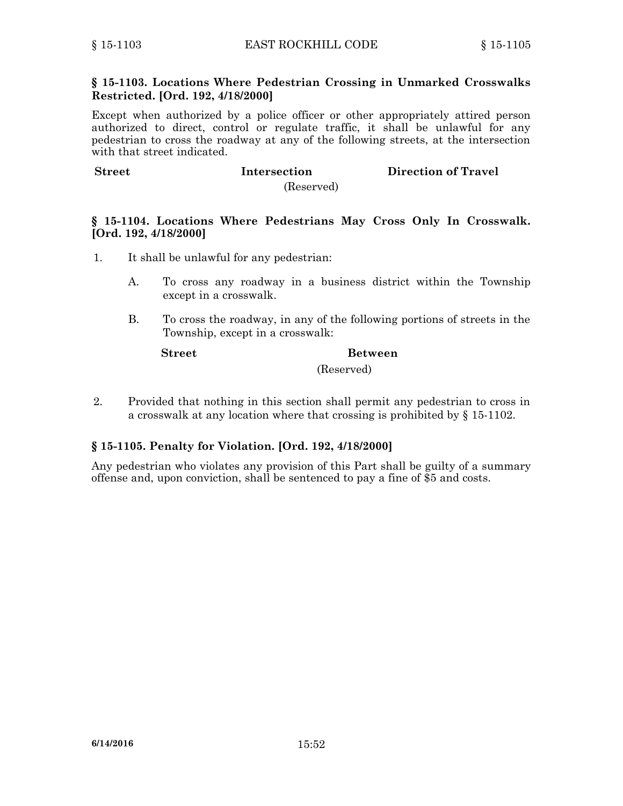### **§ 15-1103. Locations Where Pedestrian Crossing in Unmarked Crosswalks Restricted. [Ord. 192, 4/18/2000]**

Except when authorized by <sup>a</sup> police officer or other appropriately attired person authorized to direct, control or regulate traffic, it shall be unlawful for any pedestrian to cross the roadway at any of the following streets, at the intersection with that street indicated.

**Street Intersection Direction of Travel**

(Reserved)

### **§ 15-1104. Locations Where Pedestrians May Cross Only In Crosswalk. [Ord. 192, 4/18/2000]**

- 1. It shall be unlawful for any pedestrian:
	- A. To cross any roadway in <sup>a</sup> business district within the Township except in <sup>a</sup> crosswalk.
	- B. To cross the roadway, in any of the following portions of streets in the Township, except in <sup>a</sup> crosswalk:

## **Street Between**

(Reserved)

2. Provided that nothing in this section shall permit any pedestrian to cross in <sup>a</sup> crosswalk at any location where that crossing is prohibited by § 15-1102.

### **§ 15-1105. Penalty for Violation. [Ord. 192, 4/18/2000]**

Any pedestrian who violates any provision of this Part shall be guilty of <sup>a</sup> summary offense and, upon conviction, shall be sentenced to pay <sup>a</sup> fine of \$5 and costs.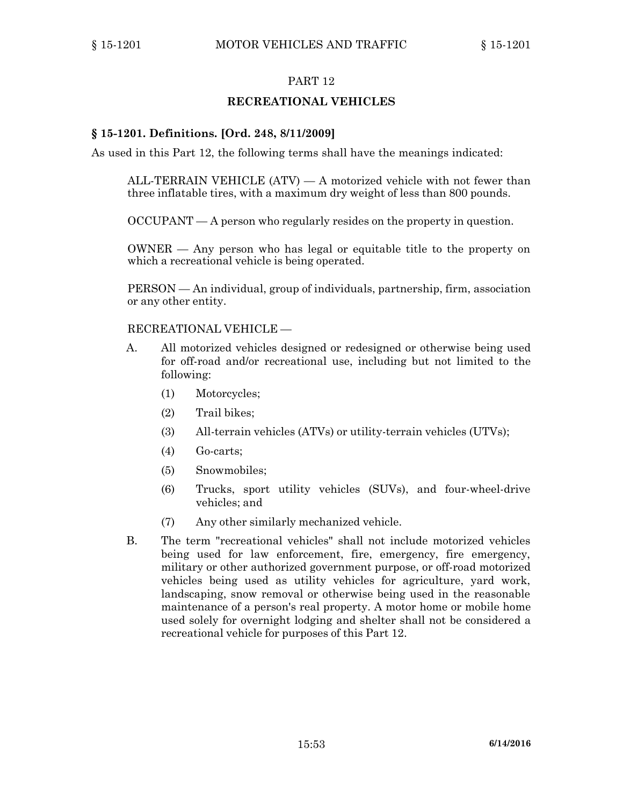### **RECREATIONAL VEHICLES**

### **§ 15-1201. Definitions. [Ord. 248, 8/11/2009]**

As used in this Part 12, the following terms shall have the meanings indicated:

ALL-TERRAIN VEHICLE  $(ATV)$  — A motorized vehicle with not fewer than three inflatable tires, with <sup>a</sup> maximum dry weight of less than 800 pounds.

OCCUPANT — A person who regularly resides on the property in question.

OWNER — Any person who has legal or equitable title to the property on which <sup>a</sup> recreational vehicle is being operated.

PERSON — An individual, group of individuals, partnership, firm, association or any other entity.

#### RECREATIONAL VEHICLE —

- A. All motorized vehicles designed or redesigned or otherwise being used for off-road and/or recreational use, including but not limited to the following:
	- (1) Motorcycles;
	- (2) Trail bikes;
	- (3) All-terrain vehicles (ATVs) or utility-terrain vehicles (UTVs);
	- (4) Go-carts;
	- (5) Snowmobiles;
	- (6) Trucks, sport utility vehicles (SUVs), and four-wheel-drive vehicles; and
	- (7) Any other similarly mechanized vehicle.
- B. The term "recreational vehicles" shall not include motorized vehicles being used for law enforcement, fire, emergency, fire emergency, military or other authorized government purpose, or off-road motorized vehicles being used as utility vehicles for agriculture, yard work, landscaping, snow removal or otherwise being used in the reasonable maintenance of <sup>a</sup> person's real property. A motor home or mobile home used solely for overnight lodging and shelter shall not be considered <sup>a</sup> recreational vehicle for purposes of this Part 12.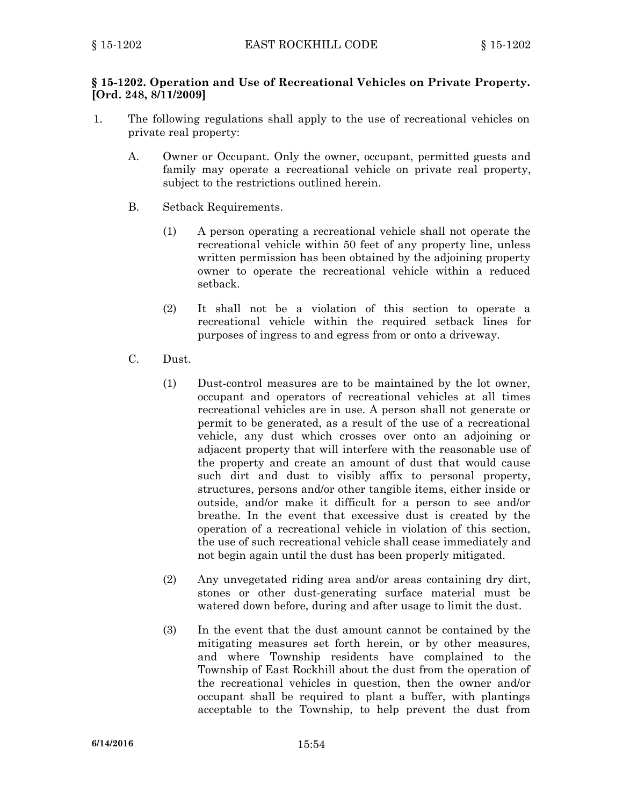### **§ 15-1202. Operation and Use of Recreational Vehicles on Private Property. [Ord. 248, 8/11/2009]**

- 1. The following regulations shall apply to the use of recreational vehicles on private real property:
	- A. Owner or Occupant. Only the owner, occupant, permitted guests and family may operate <sup>a</sup> recreational vehicle on private real property, subject to the restrictions outlined herein.
	- B. Setback Requirements.
		- (1) A person operating <sup>a</sup> recreational vehicle shall not operate the recreational vehicle within 50 feet of any property line, unless written permission has been obtained by the adjoining property owner to operate the recreational vehicle within <sup>a</sup> reduced setback.
		- (2) It shall not be <sup>a</sup> violation of this section to operate <sup>a</sup> recreational vehicle within the required setback lines for purposes of ingress to and egress from or onto <sup>a</sup> driveway.
	- C. Dust.
		- (1) Dust-control measures are to be maintained by the lot owner, occupant and operators of recreational vehicles at all times recreational vehicles are in use. A person shall not generate or permit to be generated, as <sup>a</sup> result of the use of <sup>a</sup> recreational vehicle, any dust which crosses over onto an adjoining or adjacent property that will interfere with the reasonable use of the property and create an amount of dust that would cause such dirt and dust to visibly affix to personal property, structures, persons and/or other tangible items, either inside or outside, and/or make it difficult for <sup>a</sup> person to see and/or breathe. In the event that excessive dust is created by the operation of <sup>a</sup> recreational vehicle in violation of this section, the use of such recreational vehicle shall cease immediately and not begin again until the dust has been properly mitigated.
		- (2) Any unvegetated riding area and/or areas containing dry dirt, stones or other dust-generating surface material must be watered down before, during and after usage to limit the dust.
		- (3) In the event that the dust amount cannot be contained by the mitigating measures set forth herein, or by other measures, and where Township residents have complained to the Township of East Rockhill about the dust from the operation of the recreational vehicles in question, then the owner and/or occupant shall be required to plant <sup>a</sup> buffer, with plantings acceptable to the Township, to help prevent the dust from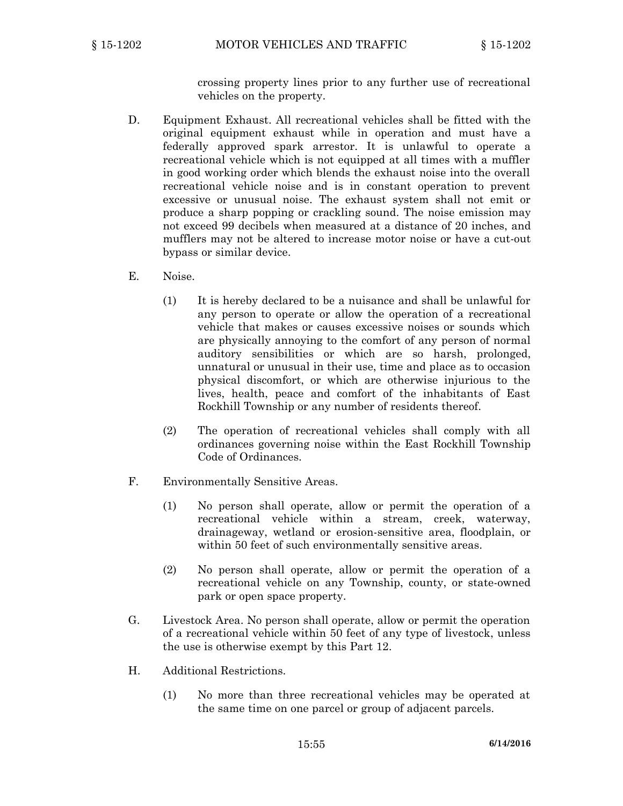crossing property lines prior to any further use of recreational vehicles on the property.

- D. Equipment Exhaust. All recreational vehicles shall be fitted with the original equipment exhaust while in operation and must have <sup>a</sup> federally approved spark arrestor. It is unlawful to operate <sup>a</sup> recreational vehicle which is not equipped at all times with <sup>a</sup> muffler in good working order which blends the exhaust noise into the overall recreational vehicle noise and is in constant operation to prevent excessive or unusual noise. The exhaust system shall not emit or produce <sup>a</sup> sharp popping or crackling sound. The noise emission may not exceed 99 decibels when measured at <sup>a</sup> distance of 20 inches, and mufflers may not be altered to increase motor noise or have <sup>a</sup> cut-out bypass or similar device.
- E. Noise.
	- (1) It is hereby declared to be <sup>a</sup> nuisance and shall be unlawful for any person to operate or allow the operation of <sup>a</sup> recreational vehicle that makes or causes excessive noises or sounds which are physically annoying to the comfort of any person of normal auditory sensibilities or which are so harsh, prolonged, unnatural or unusual in their use, time and place as to occasion physical discomfort, or which are otherwise injurious to the lives, health, peace and comfort of the inhabitants of East Rockhill Township or any number of residents thereof.
	- (2) The operation of recreational vehicles shall comply with all ordinances governing noise within the East Rockhill Township Code of Ordinances.
- F. Environmentally Sensitive Areas.
	- (1) No person shall operate, allow or permit the operation of <sup>a</sup> recreational vehicle within <sup>a</sup> stream, creek, waterway, drainageway, wetland or erosion-sensitive area, floodplain, or within 50 feet of such environmentally sensitive areas.
	- (2) No person shall operate, allow or permit the operation of <sup>a</sup> recreational vehicle on any Township, county, or state-owned park or open space property.
- G. Livestock Area. No person shall operate, allow or permit the operation of <sup>a</sup> recreational vehicle within 50 feet of any type of livestock, unless the use is otherwise exempt by this Part 12.
- H. Additional Restrictions.
	- (1) No more than three recreational vehicles may be operated at the same time on one parcel or group of adjacent parcels.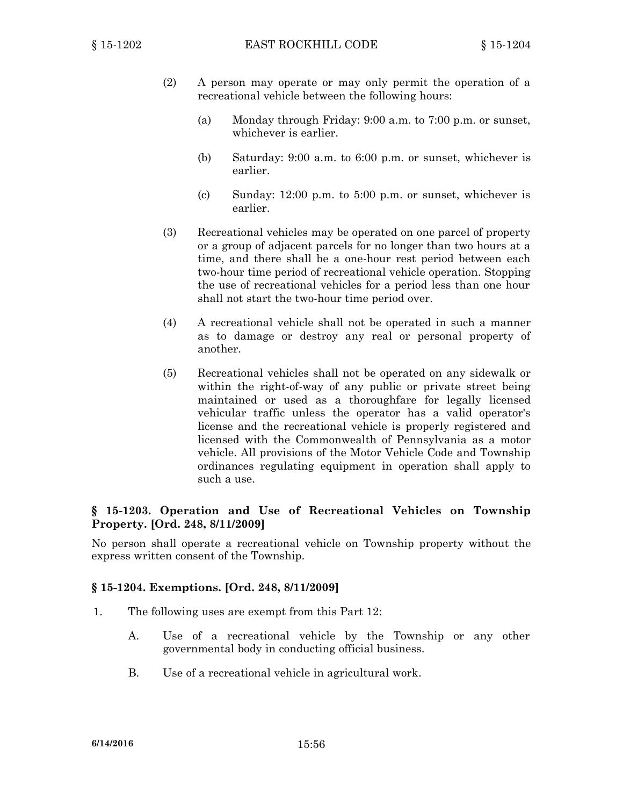- (2) A person may operate or may only permit the operation of <sup>a</sup> recreational vehicle between the following hours:
	- (a) Monday through Friday: 9:00 a.m. to 7:00 p.m. or sunset, whichever is earlier.
	- (b) Saturday: 9:00 a.m. to 6:00 p.m. or sunset, whichever is earlier.
	- (c) Sunday: 12:00 p.m. to 5:00 p.m. or sunset, whichever is earlier.
- (3) Recreational vehicles may be operated on one parcel of property or <sup>a</sup> group of adjacent parcels for no longer than two hours at <sup>a</sup> time, and there shall be <sup>a</sup> one-hour rest period between each two-hour time period of recreational vehicle operation. Stopping the use of recreational vehicles for <sup>a</sup> period less than one hour shall not start the two-hour time period over.
- (4) A recreational vehicle shall not be operated in such <sup>a</sup> manner as to damage or destroy any real or personal property of another.
- (5) Recreational vehicles shall not be operated on any sidewalk or within the right-of-way of any public or private street being maintained or used as <sup>a</sup> thoroughfare for legally licensed vehicular traffic unless the operator has <sup>a</sup> valid operator's license and the recreational vehicle is properly registered and licensed with the Commonwealth of Pennsylvania as <sup>a</sup> motor vehicle. All provisions of the Motor Vehicle Code and Township ordinances regulating equipment in operation shall apply to such <sup>a</sup> use.

### **§ 15-1203. Operation and Use of Recreational Vehicles on Township Property. [Ord. 248, 8/11/2009]**

No person shall operate <sup>a</sup> recreational vehicle on Township property without the express written consent of the Township.

#### **§ 15-1204. Exemptions. [Ord. 248, 8/11/2009]**

- 1. The following uses are exempt from this Part 12:
	- A. Use of <sup>a</sup> recreational vehicle by the Township or any other governmental body in conducting official business.
	- B. Use of <sup>a</sup> recreational vehicle in agricultural work.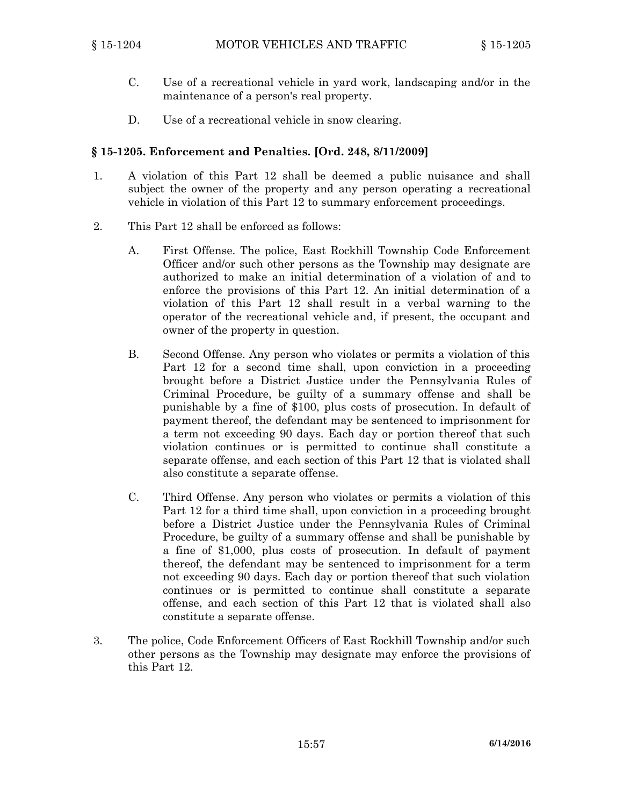- C. Use of <sup>a</sup> recreational vehicle in yard work, landscaping and/or in the maintenance of <sup>a</sup> person's real property.
- D. Use of <sup>a</sup> recreational vehicle in snow clearing.

### **§ 15-1205. Enforcement and Penalties. [Ord. 248, 8/11/2009]**

- 1. A violation of this Part 12 shall be deemed <sup>a</sup> public nuisance and shall subject the owner of the property and any person operating <sup>a</sup> recreational vehicle in violation of this Part 12 to summary enforcement proceedings.
- 2. This Part 12 shall be enforced as follows:
	- A. First Offense. The police, East Rockhill Township Code Enforcement Officer and/or such other persons as the Township may designate are authorized to make an initial determination of <sup>a</sup> violation of and to enforce the provisions of this Part 12. An initial determination of <sup>a</sup> violation of this Part 12 shall result in <sup>a</sup> verbal warning to the operator of the recreational vehicle and, if present, the occupant and owner of the property in question.
	- B. Second Offense. Any person who violates or permits <sup>a</sup> violation of this Part 12 for <sup>a</sup> second time shall, upon conviction in <sup>a</sup> proceeding brought before <sup>a</sup> District Justice under the Pennsylvania Rules of Criminal Procedure, be guilty of <sup>a</sup> summary offense and shall be punishable by <sup>a</sup> fine of \$100, plus costs of prosecution. In default of payment thereof, the defendant may be sentenced to imprisonment for <sup>a</sup> term not exceeding 90 days. Each day or portion thereof that such violation continues or is permitted to continue shall constitute <sup>a</sup> separate offense, and each section of this Part 12 that is violated shall also constitute <sup>a</sup> separate offense.
	- C. Third Offense. Any person who violates or permits <sup>a</sup> violation of this Part 12 for <sup>a</sup> third time shall, upon conviction in <sup>a</sup> proceeding brought before <sup>a</sup> District Justice under the Pennsylvania Rules of Criminal Procedure, be guilty of <sup>a</sup> summary offense and shall be punishable by <sup>a</sup> fine of \$1,000, plus costs of prosecution. In default of payment thereof, the defendant may be sentenced to imprisonment for <sup>a</sup> term not exceeding 90 days. Each day or portion thereof that such violation continues or is permitted to continue shall constitute <sup>a</sup> separate offense, and each section of this Part 12 that is violated shall also constitute <sup>a</sup> separate offense.
- 3. The police, Code Enforcement Officers of East Rockhill Township and/or such other persons as the Township may designate may enforce the provisions of this Part 12.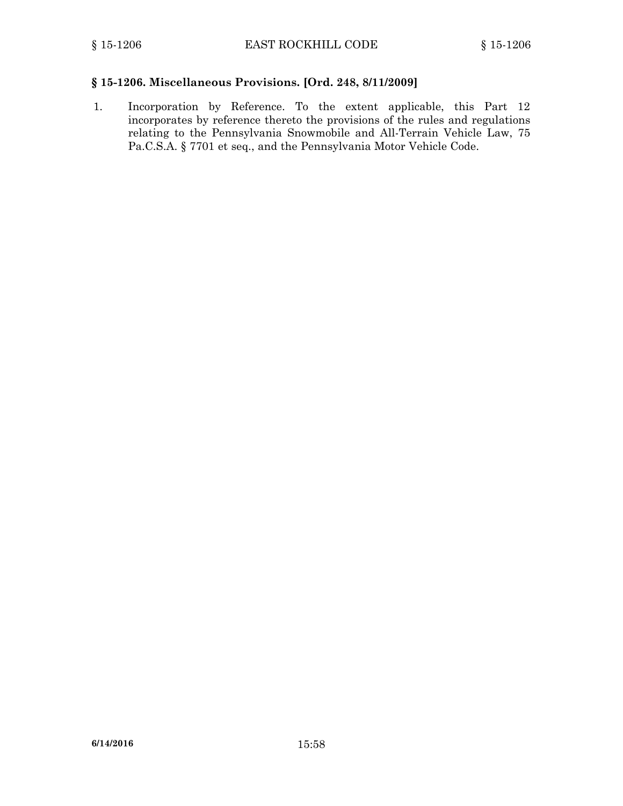### **§ 15-1206. Miscellaneous Provisions. [Ord. 248, 8/11/2009]**

1. Incorporation by Reference. To the extent applicable, this Part 12 incorporates by reference thereto the provisions of the rules and regulations relating to the Pennsylvania Snowmobile and All-Terrain Vehicle Law, 75 Pa.C.S.A. § 7701 et seq., and the Pennsylvania Motor Vehicle Code.